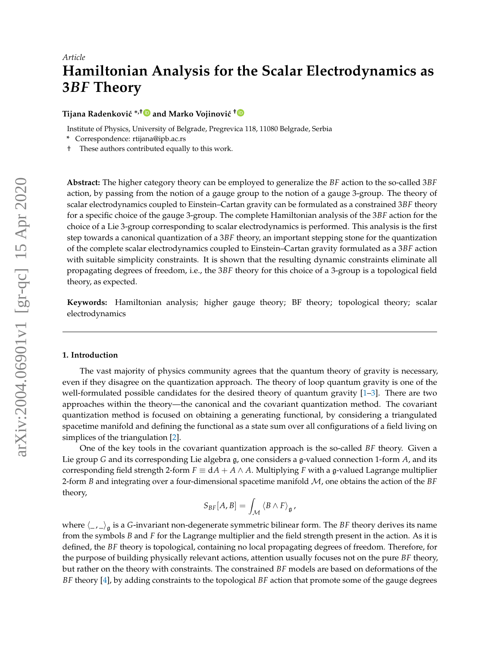# **Hamiltonian Analysis for the Scalar Electrodynamics as 3***BF* **Theory**

## **Tijana Radenković** <sup>∗,[†](https://orcid.org/0000-0001-6977-4870)</sup>■ and Marko Vojinović <sup>†</sup>■

Institute of Physics, University of Belgrade, Pregrevica 118, 11080 Belgrade, Serbia

- **\*** Correspondence: rtijana@ipb.ac.rs
- † These authors contributed equally to this work.

**Abstract:** The higher category theory can be employed to generalize the *BF* action to the so-called 3*BF* action, by passing from the notion of a gauge group to the notion of a gauge 3-group. The theory of scalar electrodynamics coupled to Einstein–Cartan gravity can be formulated as a constrained 3*BF* theory for a specific choice of the gauge 3-group. The complete Hamiltonian analysis of the 3*BF* action for the choice of a Lie 3-group corresponding to scalar electrodynamics is performed. This analysis is the first step towards a canonical quantization of a 3*BF* theory, an important stepping stone for the quantization of the complete scalar electrodynamics coupled to Einstein–Cartan gravity formulated as a 3*BF* action with suitable simplicity constraints. It is shown that the resulting dynamic constraints eliminate all propagating degrees of freedom, i.e., the 3*BF* theory for this choice of a 3-group is a topological field theory, as expected.

**Keywords:** Hamiltonian analysis; higher gauge theory; BF theory; topological theory; scalar electrodynamics

#### **1. Introduction**

The vast majority of physics community agrees that the quantum theory of gravity is necessary, even if they disagree on the quantization approach. The theory of loop quantum gravity is one of the well-formulated possible candidates for the desired theory of quantum gravity [\[1–](#page-21-0)[3\]](#page-21-1). There are two approaches within the theory—the canonical and the covariant quantization method. The covariant quantization method is focused on obtaining a generating functional, by considering a triangulated spacetime manifold and defining the functional as a state sum over all configurations of a field living on simplices of the triangulation [\[2\]](#page-21-2).

One of the key tools in the covariant quantization approach is the so-called *BF* theory. Given a Lie group *G* and its corresponding Lie algebra g, one considers a g-valued connection 1-form *A*, and its corresponding field strength 2-form  $F \equiv dA + A \wedge A$ . Multiplying *F* with a g-valued Lagrange multiplier 2-form *B* and integrating over a four-dimensional spacetime manifold M, one obtains the action of the *BF* theory,

$$
S_{BF}[A,B]=\int_{\mathcal{M}}\left\langle B\wedge F\right\rangle _{\mathfrak{g}},
$$

where  $\langle \_, \_ \rangle_{\mathfrak{g}}$  is a *G*-invariant non-degenerate symmetric bilinear form. The *BF* theory derives its name from the symbols *B* and *F* for the Lagrange multiplier and the field strength present in the action. As it is defined, the *BF* theory is topological, containing no local propagating degrees of freedom. Therefore, for the purpose of building physically relevant actions, attention usually focuses not on the pure *BF* theory, but rather on the theory with constraints. The constrained *BF* models are based on deformations of the *BF* theory [\[4\]](#page-21-3), by adding constraints to the topological *BF* action that promote some of the gauge degrees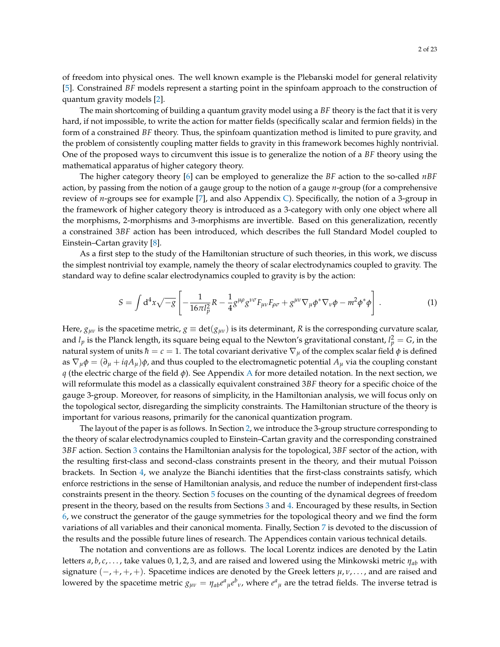of freedom into physical ones. The well known example is the Plebanski model for general relativity [\[5\]](#page-21-4). Constrained *BF* models represent a starting point in the spinfoam approach to the construction of quantum gravity models [\[2\]](#page-21-2).

The main shortcoming of building a quantum gravity model using a *BF* theory is the fact that it is very hard, if not impossible, to write the action for matter fields (specifically scalar and fermion fields) in the form of a constrained *BF* theory. Thus, the spinfoam quantization method is limited to pure gravity, and the problem of consistently coupling matter fields to gravity in this framework becomes highly nontrivial. One of the proposed ways to circumvent this issue is to generalize the notion of a *BF* theory using the mathematical apparatus of higher category theory.

The higher category theory [\[6\]](#page-21-5) can be employed to generalize the *BF* action to the so-called *nBF* action, by passing from the notion of a gauge group to the notion of a gauge *n*-group (for a comprehensive review of *n*-groups see for example [\[7\]](#page-21-6), and also Appendix [C\)](#page-19-0). Specifically, the notion of a 3-group in the framework of higher category theory is introduced as a 3-category with only one object where all the morphisms, 2-morphisms and 3-morphisms are invertible. Based on this generalization, recently a constrained 3*BF* action has been introduced, which describes the full Standard Model coupled to Einstein–Cartan gravity [\[8\]](#page-21-7).

As a first step to the study of the Hamiltonian structure of such theories, in this work, we discuss the simplest nontrivial toy example, namely the theory of scalar electrodynamics coupled to gravity. The standard way to define scalar electrodynamics coupled to gravity is by the action:

<span id="page-1-0"></span>
$$
S = \int d^4x \sqrt{-g} \left[ -\frac{1}{16\pi l_p^2} R - \frac{1}{4} g^{\mu\rho} g^{\nu\sigma} F_{\mu\nu} F_{\rho\sigma} + g^{\mu\nu} \nabla_\mu \phi^* \nabla_\nu \phi - m^2 \phi^* \phi \right]. \tag{1}
$$

Here,  $g_{\mu\nu}$  is the spacetime metric,  $g \equiv det(g_{\mu\nu})$  is its determinant, R is the corresponding curvature scalar, and  $l_p$  is the Planck length, its square being equal to the Newton's gravitational constant,  $l_p^2 = G$ , in the natural system of units  $\hbar = c = 1$ . The total covariant derivative  $\nabla_{\mu}$  of the complex scalar field  $\phi$  is defined as  $\nabla_{\mu}\phi = (\partial_{\mu} + iqA_{\mu})\phi$ , and thus coupled to the electromagnetic potential  $A_{\mu}$  via the coupling constant *q* (the electric charge of the field *φ*). See Appendix [A](#page-17-0) for more detailed notation. In the next section, we will reformulate this model as a classically equivalent constrained 3*BF* theory for a specific choice of the gauge 3-group. Moreover, for reasons of simplicity, in the Hamiltonian analysis, we will focus only on the topological sector, disregarding the simplicity constraints. The Hamiltonian structure of the theory is important for various reasons, primarily for the canonical quantization program.

The layout of the paper is as follows. In Section [2,](#page-2-0) we introduce the 3-group structure corresponding to the theory of scalar electrodynamics coupled to Einstein–Cartan gravity and the corresponding constrained 3*BF* action. Section [3](#page-5-0) contains the Hamiltonian analysis for the topological, 3*BF* sector of the action, with the resulting first-class and second-class constraints present in the theory, and their mutual Poisson brackets. In Section [4,](#page-10-0) we analyze the Bianchi identities that the first-class constraints satisfy, which enforce restrictions in the sense of Hamiltonian analysis, and reduce the number of independent first-class constraints present in the theory. Section [5](#page-12-0) focuses on the counting of the dynamical degrees of freedom present in the theory, based on the results from Sections [3](#page-5-0) and [4.](#page-10-0) Encouraged by these results, in Section [6,](#page-14-0) we construct the generator of the gauge symmetries for the topological theory and we find the form variations of all variables and their canonical momenta. Finally, Section [7](#page-15-0) is devoted to the discussion of the results and the possible future lines of research. The Appendices contain various technical details.

The notation and conventions are as follows. The local Lorentz indices are denoted by the Latin letters *a*, *b*, *c*, . . . , take values 0, 1, 2, 3, and are raised and lowered using the Minkowski metric *ηab* with signature (−, +, +, +). Spacetime indices are denoted by the Greek letters *µ*, *ν*, . . . , and are raised and lowered by the spacetime metric  $g_{\mu\nu} = \eta_{ab}e^a{}_\mu e^b{}_\nu$ , where  $e^a{}_\mu$  are the tetrad fields. The inverse tetrad is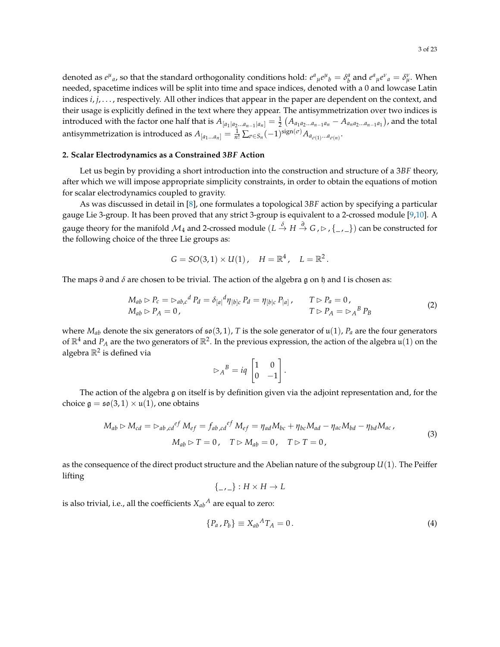denoted as  $e^{\mu}{}_a$ , so that the standard orthogonality conditions hold:  $e^a{}_{\mu}e^{\mu}{}_b = \delta^a_b$  and  $e^a{}_{\mu}e^{\nu}{}_a = \delta^{\nu}{}_{\mu}$ . When needed, spacetime indices will be split into time and space indices, denoted with a 0 and lowcase Latin indices *i*, *j*, . . . , respectively. All other indices that appear in the paper are dependent on the context, and their usage is explicitly defined in the text where they appear. The antisymmetrization over two indices is introduced with the factor one half that is  $A_{[a_1|a_2...a_{n-1}|a_n]}=\frac12\left(A_{a_1a_2...a_{n-1}a_n}-A_{a_na_2...a_{n-1}a_1}\right)$ , and the total antisymmetrization is introduced as  $A_{[a_1...a_n]} = \frac{1}{n!}\sum_{\sigma \in S_n} (-1)^{\text{sign}(\sigma)} A_{a_{\sigma(1)}...a_{\sigma(n)}}.$ 

#### <span id="page-2-0"></span>**2. Scalar Electrodynamics as a Constrained 3***BF* **Action**

Let us begin by providing a short introduction into the construction and structure of a 3*BF* theory, after which we will impose appropriate simplicity constraints, in order to obtain the equations of motion for scalar electrodynamics coupled to gravity.

As was discussed in detail in [\[8\]](#page-21-7), one formulates a topological 3*BF* action by specifying a particular gauge Lie 3-group. It has been proved that any strict 3-group is equivalent to a 2-crossed module [\[9](#page-21-8)[,10\]](#page-21-9). A gauge theory for the manifold  $\mathcal{M}_4$  and 2-crossed module  $(L\overset{\delta}{\to}H\overset{d}{\to}G$  ,  $\triangleright$  ,  $\{\_\,,\_\})$  can be constructed for the following choice of the three Lie groups as:

$$
G = SO(3, 1) \times U(1)
$$
,  $H = \mathbb{R}^4$ ,  $L = \mathbb{R}^2$ .

The maps *∂* and *δ* are chosen to be trivial. The action of the algebra g on h and l is chosen as:

<span id="page-2-1"></span>
$$
M_{ab} \rhd P_c = \rhd_{ab,c}{}^d P_d = \delta_{[a]}{}^d \eta_{[b]c} P_d = \eta_{[b]c} P_{[a]}, \qquad T \rhd P_a = 0,M_{ab} \rhd P_A = 0, \qquad T \rhd P_A = \rhd_A{}^B P_B
$$
 (2)

.

where  $M_{ab}$  denote the six generators of  $\mathfrak{so}(3,1)$ , *T* is the sole generator of  $\mathfrak{u}(1)$ ,  $P_a$  are the four generators of  $\R^4$  and  $P_A$  are the two generators of  $\R^2$ . In the previous expression, the action of the algebra  $\mathfrak{u}(1)$  on the algebra  $\mathbb{R}^2$  is defined via

$$
\triangleright_A{}^B = iq \begin{bmatrix} 1 & 0 \\ 0 & -1 \end{bmatrix}
$$

The action of the algebra g on itself is by definition given via the adjoint representation and, for the choice  $\mathfrak{g} = \mathfrak{so}(3,1) \times \mathfrak{u}(1)$ , one obtains

$$
M_{ab} \rhd M_{cd} = \rhd_{ab,cd}{}^{ef} M_{ef} = f_{ab,cd}{}^{ef} M_{ef} = \eta_{ad} M_{bc} + \eta_{bc} M_{ad} - \eta_{ac} M_{bd} - \eta_{bd} M_{ac},
$$
  

$$
M_{ab} \rhd T = 0, \quad T \rhd M_{ab} = 0, \quad T \rhd T = 0,
$$
 (3)

as the consequence of the direct product structure and the Abelian nature of the subgroup *U*(1). The Peiffer lifting

$$
\{\_ \,, \_ \}: H \times H \to L
$$

is also trivial, i.e., all the coefficients  $X_{ab}{}^A$  are equal to zero:

<span id="page-2-2"></span>
$$
\{P_a \, P_b\} \equiv X_{ab}{}^A T_A = 0 \,. \tag{4}
$$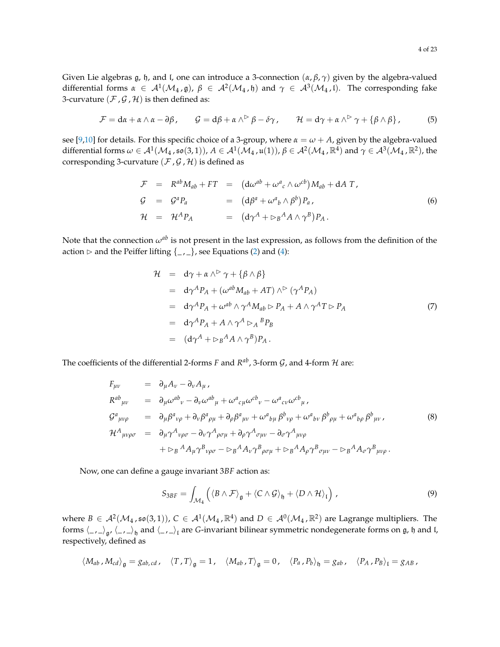Given Lie algebras g, h, and l, one can introduce a 3-connection (*α*, *β*, *γ*) given by the algebra-valued differential forms  $\alpha \in A^1(\mathcal{M}_4,\mathfrak{g})$ ,  $\beta \in A^2(\mathcal{M}_4,\mathfrak{h})$  and  $\gamma \in A^3(\mathcal{M}_4,\mathfrak{l})$ . The corresponding fake 3-curvature  $(\mathcal{F}, \mathcal{G}, \mathcal{H})$  is then defined as:

$$
\mathcal{F} = d\alpha + \alpha \wedge \alpha - \partial \beta, \qquad \mathcal{G} = d\beta + \alpha \wedge^{\triangleright} \beta - \delta \gamma, \qquad \mathcal{H} = d\gamma + \alpha \wedge^{\triangleright} \gamma + \{\beta \wedge \beta\}, \tag{5}
$$

see [\[9,](#page-21-8)[10\]](#page-21-9) for details. For this specific choice of a 3-group, where  $\alpha = \omega + A$ , given by the algebra-valued  $\text{differential forms }\omega\in\mathcal{A}^{1}(\mathcal{M}_{4}$  ,  $\mathfrak{so}(3,1)), A\in\mathcal{A}^{1}(\mathcal{M}_{4}$  ,  $\mathfrak{u}(1)), \beta\in\mathcal{A}^{2}(\mathcal{M}_{4}$  ,  $\mathbb{R}^{4})$  and  $\gamma\in\mathcal{A}^{3}(\mathcal{M}_{4}$  ,  $\mathbb{R}^{2}),$  the corresponding 3-curvature ( $\mathcal{F}$ ,  $\mathcal{G}$ ,  $\mathcal{H}$ ) is defined as

$$
\mathcal{F} = R^{ab}M_{ab} + FT = (d\omega^{ab} + \omega^{a}{}_{c} \wedge \omega^{cb})M_{ab} + dAT,
$$
  
\n
$$
\mathcal{G} = \mathcal{G}^{a}P_{a} = (d\beta^{a} + \omega^{a}{}_{b} \wedge \beta^{b})P_{a},
$$
  
\n
$$
\mathcal{H} = \mathcal{H}^{A}P_{A} = (d\gamma^{A} + \varepsilon_{B}{}^{A}A \wedge \gamma^{B})P_{A}.
$$
\n(6)

Note that the connection  $\omega^{ab}$  is not present in the last expression, as follows from the definition of the action  $\triangleright$  and the Peiffer lifting  $\{\_,\_ \}$ , see Equations [\(2\)](#page-2-1) and [\(4\)](#page-2-2):

$$
\mathcal{H} = d\gamma + \alpha \wedge^{\triangleright} \gamma + \{\beta \wedge \beta\} \n= d\gamma^A P_A + (\omega^{ab} M_{ab} + AT) \wedge^{\triangleright} (\gamma^A P_A) \n= d\gamma^A P_A + \omega^{ab} \wedge \gamma^A M_{ab} \vDash P_A + A \wedge \gamma^A T \vDash P_A \n= d\gamma^A P_A + A \wedge \gamma^A \vDash_A {}^B P_B \n= (d\gamma^A + \vDash_B{}^A A \wedge \gamma^B) P_A .
$$
\n(7)

The coefficients of the differential 2-forms *F* and  $R^{ab}$ , 3-form  $\mathcal G$ , and 4-form  $\mathcal H$  are:

$$
F_{\mu\nu} = \partial_{\mu}A_{\nu} - \partial_{\nu}A_{\mu},
$$
  
\n
$$
R^{ab}_{\mu\nu} = \partial_{\mu}\omega^{ab}_{\nu} - \partial_{\nu}\omega^{ab}_{\mu} + \omega^{a}_{\mu}\omega^{cb}_{\nu} - \omega^{a}_{\mu}\omega^{cb}_{\mu},
$$
  
\n
$$
G^{a}_{\mu\nu\rho} = \partial_{\mu}\beta^{a}_{\nu\rho} + \partial_{\nu}\beta^{a}_{\rho\mu} + \partial_{\rho}\beta^{a}_{\mu\nu} + \omega^{a}_{\mu\mu}\beta^{b}_{\nu\rho} + \omega^{a}_{\mu\nu}\beta^{b}_{\rho\mu} + \omega^{a}_{\rho\rho}\beta^{b}_{\mu\nu},
$$
  
\n
$$
\mathcal{H}^{A}_{\mu\nu\rho\sigma} = \partial_{\mu}\gamma^{A}_{\nu\rho\sigma} - \partial_{\nu}\gamma^{A}_{\rho\sigma\mu} + \partial_{\rho}\gamma^{A}_{\sigma\mu\nu} - \partial_{\sigma}\gamma^{A}_{\mu\nu\rho}
$$
  
\n
$$
+ D_{B}{}^{A}A_{\mu}\gamma^{B}_{\nu\rho\sigma} - D_{B}{}^{A}A_{\nu}\gamma^{B}_{\rho\sigma\mu} + D_{B}{}^{A}A_{\rho}\gamma^{B}_{\sigma\mu\nu} - D_{B}{}^{A}A_{\sigma}\gamma^{B}_{\mu\nu\rho}.
$$
  
\n(8)

Now, one can define a gauge invariant 3*BF* action as:

<span id="page-3-0"></span>
$$
S_{3BF} = \int_{\mathcal{M}_4} \left( \langle B \wedge \mathcal{F} \rangle_{\mathfrak{g}} + \langle C \wedge \mathcal{G} \rangle_{\mathfrak{h}} + \langle D \wedge \mathcal{H} \rangle_{\mathfrak{l}} \right) , \tag{9}
$$

where  $B \in \mathcal{A}^2(\mathcal{M}_4, \mathfrak{so}(3,1)), C \in \mathcal{A}^1(\mathcal{M}_4, \mathbb{R}^4)$  and  $D \in \mathcal{A}^0(\mathcal{M}_4, \mathbb{R}^2)$  are Lagrange multipliers. The forms  $\langle \_,\_\rangle_{\mathfrak{g}'}\langle \_,\_\rangle_{\mathfrak{h}}$  and  $\langle \_,\_\rangle_{\mathfrak{l}}$  are *G*-invariant bilinear symmetric nondegenerate forms on  $\mathfrak{g}$ ,  $\mathfrak{h}$  and  $\mathfrak{l}$ , respectively, defined as

$$
\langle M_{ab}, M_{cd} \rangle_{\mathfrak{g}} = g_{ab,cd}, \quad \langle T, T \rangle_{\mathfrak{g}} = 1, \quad \langle M_{ab}, T \rangle_{\mathfrak{g}} = 0, \quad \langle P_a, P_b \rangle_{\mathfrak{h}} = g_{ab}, \quad \langle P_A, P_B \rangle_{\mathfrak{l}} = g_{AB},
$$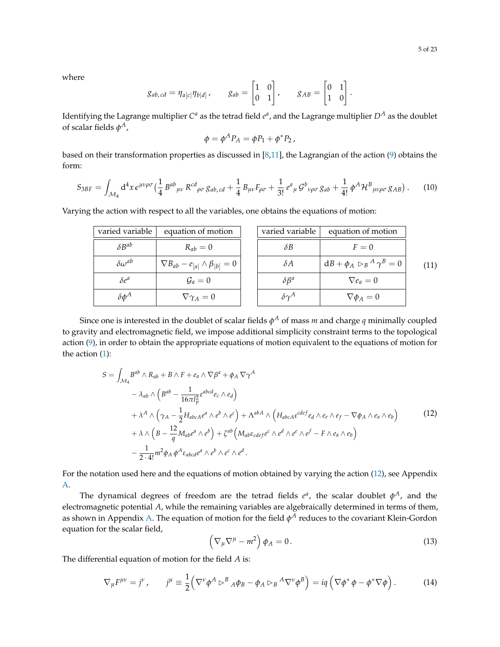where

$$
g_{ab,cd} = \eta_{a[c|} \eta_{b[d]}, \qquad g_{ab} = \begin{bmatrix} 1 & 0 \\ 0 & 1 \end{bmatrix}, \qquad g_{AB} = \begin{bmatrix} 0 & 1 \\ 1 & 0 \end{bmatrix}.
$$

Identifying the Lagrange multiplier  $C^a$  as the tetrad field  $e^a$ , and the Lagrange multiplier  $D^A$  as the doublet of scalar fields  $\phi^A$ ,

$$
\phi = \phi^A P_A = \phi P_1 + \phi^* P_2,
$$

based on their transformation properties as discussed in [\[8,](#page-21-7)[11\]](#page-21-10), the Lagrangian of the action [\(9\)](#page-3-0) obtains the form:

<span id="page-4-1"></span>
$$
S_{3BF} = \int_{\mathcal{M}_4} d^4x \, \epsilon^{\mu\nu\rho\sigma} \left( \frac{1}{4} \, B^{ab}{}_{\mu\nu} \, R^{cd}{}_{\rho\sigma} \, g_{ab,cd} + \frac{1}{4} \, B_{\mu\nu} F_{\rho\sigma} + \frac{1}{3!} \, e^a{}_{\mu} \, \mathcal{G}^b{}_{\nu\rho\sigma} \, g_{ab} + \frac{1}{4!} \, \phi^A \mathcal{H}^B{}_{\mu\nu\rho\sigma} \, g_{AB} \right). \tag{10}
$$

| varied variable     | equation of motion                               | varied variable   | equation of motion                                          |      |
|---------------------|--------------------------------------------------|-------------------|-------------------------------------------------------------|------|
| $\delta B^{ab}$     | $R_{ab}=0$                                       | $\delta B$        | $F=0$                                                       |      |
| $\delta\omega^{ab}$ | $\nabla B_{ab} - e_{[a]} \wedge \beta_{[b]} = 0$ | $\delta A$        | $\mathbf{d}B + \boldsymbol{\phi}_A \rhd_B{}^A \gamma^B = 0$ | (11) |
| $\delta e^a$        | $\mathcal{G}_a=0$                                | $\delta\beta^a$   | $\nabla e_a = 0$                                            |      |
| $\delta \phi^A$     | $\nabla \gamma_A = 0$                            | $\delta \gamma^A$ | $\nabla \phi_A = 0$                                         |      |

Varying the action with respect to all the variables, one obtains the equations of motion:

Since one is interested in the doublet of scalar fields  $\phi^A$  of mass  $m$  and charge  $q$  minimally coupled to gravity and electromagnetic field, we impose additional simplicity constraint terms to the topological action [\(9\)](#page-3-0), in order to obtain the appropriate equations of motion equivalent to the equations of motion for the action [\(1\)](#page-1-0):

<span id="page-4-0"></span>
$$
S = \int_{\mathcal{M}_4} B^{ab} \wedge R_{ab} + B \wedge F + e_a \wedge \nabla \beta^a + \phi_A \nabla \gamma^A
$$
  
\n
$$
- \lambda_{ab} \wedge \left( B^{ab} - \frac{1}{16\pi l_p^2} \varepsilon^{abcd} e_c \wedge e_d \right)
$$
  
\n
$$
+ \lambda^A \wedge \left( \gamma_A - \frac{1}{2} H_{abcA} e^a \wedge e^b \wedge e^c \right) + \Lambda^{abA} \wedge \left( H_{abcA} \varepsilon^{cdef} e_d \wedge e_e \wedge e_f - \nabla \phi_A \wedge e_a \wedge e_b \right)
$$
  
\n
$$
+ \lambda \wedge \left( B - \frac{12}{q} M_{ab} e^a \wedge e^b \right) + \zeta^{ab} \left( M_{ab} \varepsilon_{cdef} e^c \wedge e^d \wedge e^e \wedge e^f - F \wedge e_a \wedge e_b \right)
$$
  
\n
$$
- \frac{1}{2 \cdot 4!} m^2 \phi_A \phi^A \varepsilon_{abcd} e^a \wedge e^b \wedge e^c \wedge e^d.
$$
 (12)

For the notation used here and the equations of motion obtained by varying the action [\(12\)](#page-4-0), see Appendix [A.](#page-17-0)

The dynamical degrees of freedom are the tetrad fields  $e^a$ , the scalar doublet  $\phi^A$ , and the electromagnetic potential *A*, while the remaining variables are algebraically determined in terms of them, as shown in Appendix [A.](#page-17-0) The equation of motion for the field  $\phi^A$  reduces to the covariant Klein-Gordon equation for the scalar field,

$$
\left(\nabla_{\mu}\nabla^{\mu}-m^{2}\right)\phi_{A}=0.\tag{13}
$$

The differential equation of motion for the field *A* is:

$$
\nabla_{\mu}F^{\mu\nu} = j^{\nu}, \qquad j^{\mu} \equiv \frac{1}{2} \Big( \nabla^{\nu} \phi^{A} \triangleright^{B} {}_{A} \phi_{B} - \phi_{A} \triangleright_{B} {}^{A} \nabla^{\nu} \phi^{B} \Big) = iq \left( \nabla \phi^{*} \phi - \phi^{*} \nabla \phi \right). \tag{14}
$$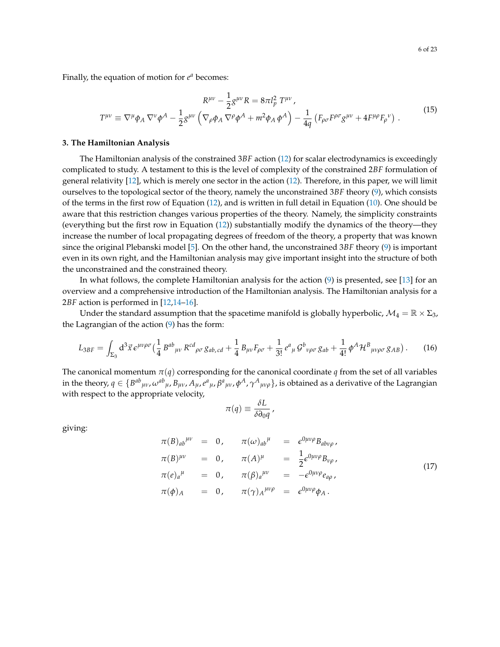Finally, the equation of motion for  $e^a$  becomes:

$$
R^{\mu\nu} - \frac{1}{2}g^{\mu\nu}R = 8\pi l_p^2 T^{\mu\nu},
$$
  

$$
T^{\mu\nu} \equiv \nabla^{\mu}\phi_A \nabla^{\nu}\phi^A - \frac{1}{2}g^{\mu\nu} \left(\nabla_{\rho}\phi_A \nabla^{\rho}\phi^A + m^2\phi_A \phi^A\right) - \frac{1}{4q} \left(F_{\rho\sigma}F^{\rho\sigma}g^{\mu\nu} + 4F^{\mu\rho}F_{\rho}{}^{\nu}\right).
$$
 (15)

#### <span id="page-5-0"></span>**3. The Hamiltonian Analysis**

The Hamiltonian analysis of the constrained 3*BF* action [\(12\)](#page-4-0) for scalar electrodynamics is exceedingly complicated to study. A testament to this is the level of complexity of the constrained 2*BF* formulation of general relativity [\[12\]](#page-21-11), which is merely one sector in the action [\(12\)](#page-4-0). Therefore, in this paper, we will limit ourselves to the topological sector of the theory, namely the unconstrained 3*BF* theory [\(9\)](#page-3-0), which consists of the terms in the first row of Equation [\(12\)](#page-4-0), and is written in full detail in Equation [\(10\)](#page-4-1). One should be aware that this restriction changes various properties of the theory. Namely, the simplicity constraints (everything but the first row in Equation [\(12\)](#page-4-0)) substantially modify the dynamics of the theory—they increase the number of local propagating degrees of freedom of the theory, a property that was known since the original Plebanski model [\[5\]](#page-21-4). On the other hand, the unconstrained 3*BF* theory [\(9\)](#page-3-0) is important even in its own right, and the Hamiltonian analysis may give important insight into the structure of both the unconstrained and the constrained theory.

In what follows, the complete Hamiltonian analysis for the action [\(9\)](#page-3-0) is presented, see [\[13\]](#page-21-12) for an overview and a comprehensive introduction of the Hamiltonian analysis. The Hamiltonian analysis for a 2*BF* action is performed in [\[12,](#page-21-11)[14](#page-22-0)[–16\]](#page-22-1).

Under the standard assumption that the spacetime manifold is globally hyperbolic,  $\mathcal{M}_4 = \mathbb{R} \times \Sigma_3$ , the Lagrangian of the action [\(9\)](#page-3-0) has the form:

$$
L_{3BF} = \int_{\Sigma_3} d^3 \vec{x} \, e^{\mu \nu \rho \sigma} \left( \frac{1}{4} \, B^{ab}{}_{\mu \nu} \, R^{cd}{}_{\rho \sigma} \, g_{ab,cd} + \frac{1}{4} \, B_{\mu \nu} F_{\rho \sigma} + \frac{1}{3!} \, e^a{}_{\mu} \, G^b{}_{\nu \rho \sigma} \, g_{ab} + \frac{1}{4!} \, \phi^A \mathcal{H}^B{}_{\mu \nu \rho \sigma} \, g_{AB} \right). \tag{16}
$$

The canonical momentum  $\pi(q)$  corresponding for the canonical coordinate *q* from the set of all variables in the theory,  $q\in\{B^{ab}{}_{\mu\nu}$ ,  $\omega^{ab}{}_{\mu}$ ,  $B_{\mu\nu}$ ,  $A_\mu$ ,  $e^a{}_{\mu}$ ,  $\beta^a{}_{\mu\nu}$ ,  $\phi^A$ ,  $\gamma^A{}_{\mu\nu\rho}\}$ , is obtained as a derivative of the Lagrangian with respect to the appropriate velocity,

$$
\pi(q) \equiv \frac{\delta L}{\delta \partial_0 q},
$$

giving:

$$
\pi(B)_{ab}^{\mu\nu} = 0, \qquad \pi(\omega)_{ab}^{\mu} = \epsilon^{0\mu\nu\rho} B_{ab\nu\rho},
$$
  
\n
$$
\pi(B)^{\mu\nu} = 0, \qquad \pi(A)^{\mu} = \frac{1}{2} \epsilon^{0\mu\nu\rho} B_{\nu\rho},
$$
  
\n
$$
\pi(e)_{a}^{\mu} = 0, \qquad \pi(\beta)_{a}^{\mu\nu} = -\epsilon^{0\mu\nu\rho} e_{a\rho},
$$
  
\n
$$
\pi(\phi)_{A} = 0, \qquad \pi(\gamma)_{A}^{\mu\nu\rho} = \epsilon^{0\mu\nu\rho} \phi_{A}.
$$
\n(17)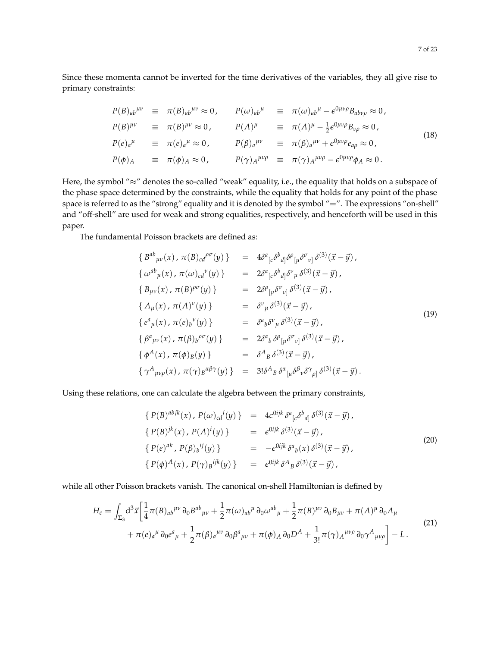Since these momenta cannot be inverted for the time derivatives of the variables, they all give rise to primary constraints:

$$
P(B)_{ab}^{\mu\nu} \equiv \pi(B)_{ab}^{\mu\nu} \approx 0, \qquad P(\omega)_{ab}^{\mu} \equiv \pi(\omega)_{ab}^{\mu} - \epsilon^{0\mu\nu\rho} B_{ab\nu\rho} \approx 0,
$$
  
\n
$$
P(B)^{\mu\nu} \equiv \pi(B)^{\mu\nu} \approx 0, \qquad P(A)^{\mu} \equiv \pi(A)^{\mu} - \frac{1}{2} \epsilon^{0\mu\nu\rho} B_{\nu\rho} \approx 0,
$$
  
\n
$$
P(e)_{a}^{\mu} \equiv \pi(e)_{a}^{\mu} \approx 0, \qquad P(\beta)_{a}^{\mu\nu} \equiv \pi(\beta)_{a}^{\mu\nu} + \epsilon^{0\mu\nu\rho} e_{a\rho} \approx 0,
$$
  
\n
$$
P(\phi)_{A} \equiv \pi(\phi)_{A} \approx 0, \qquad P(\gamma)_{A}^{\mu\nu\rho} \equiv \pi(\gamma)_{A}^{\mu\nu\rho} - \epsilon^{0\mu\nu\rho} \phi_{A} \approx 0.
$$
\n(18)

Here, the symbol "≈" denotes the so-called "weak" equality, i.e., the equality that holds on a subspace of the phase space determined by the constraints, while the equality that holds for any point of the phase space is referred to as the "strong" equality and it is denoted by the symbol "=". The expressions "on-shell" and "off-shell" are used for weak and strong equalities, respectively, and henceforth will be used in this paper.

The fundamental Poisson brackets are defined as:

$$
\{B^{ab}_{\mu\nu}(x), \pi(B)_{cd}^{\rho\sigma}(y)\} = 4\delta^{a}_{[c}\delta^{b}_{d]}\delta^{\rho}_{[\mu}\delta^{\sigma}_{\nu]}\delta^{(3)}(\vec{x}-\vec{y}),
$$
  
\n
$$
\{\omega^{ab}_{\mu}(x), \pi(\omega)_{cd}^{\nu}(y)\} = 2\delta^{a}_{[c}\delta^{b}_{d]}\delta^{\nu}_{\mu}\delta^{(3)}(\vec{x}-\vec{y}),
$$
  
\n
$$
\{B_{\mu\nu}(x), \pi(B)^{\rho\sigma}(y)\} = 2\delta^{\rho}_{[\mu}\delta^{\sigma}_{\nu]}\delta^{(3)}(\vec{x}-\vec{y}),
$$
  
\n
$$
\{A_{\mu}(x), \pi(A)^{\nu}(y)\} = \delta^{\nu}_{\mu}\delta^{(3)}(\vec{x}-\vec{y}),
$$
  
\n
$$
\{e^{a}_{\mu}(x), \pi(e)_{b}^{\nu}(y)\} = \delta^{a}_{b}\delta^{\nu}_{\mu}\delta^{(3)}(\vec{x}-\vec{y}),
$$
  
\n
$$
\{\beta^{a}_{\mu\nu}(x), \pi(\beta)_{b}^{\rho\sigma}(y)\} = 2\delta^{a}_{b}\delta^{\rho}_{[\mu}\delta^{\sigma}_{\nu]}\delta^{(3)}(\vec{x}-\vec{y}),
$$
  
\n
$$
\{\phi^{A}(x), \pi(\phi)_{B}(y)\} = \delta^{A}_{B}\delta^{(3)}(\vec{x}-\vec{y}),
$$
  
\n
$$
\{\gamma^{A}_{\mu\nu\rho}(x), \pi(\gamma)_{B}^{\alpha\beta\gamma}(y)\} = 3\delta^{A}_{B}\delta^{\alpha}_{[\mu}\delta^{\beta}_{\nu}\delta^{\gamma}_{\rho]}\delta^{(3)}(\vec{x}-\vec{y}).
$$

Using these relations, one can calculate the algebra between the primary constraints,

<span id="page-6-1"></span>
$$
\{ P(B)^{abjk}(x), P(\omega)_{cd}{}^i(y) \} = 4\epsilon^{0ijk} \delta^a{}_{[c} \delta^b{}_{d]} \delta^{(3)}(\vec{x} - \vec{y}),
$$
  
\n
$$
\{ P(B)^{jk}(x), P(A)^i(y) \} = \epsilon^{0ijk} \delta^{(3)}(\vec{x} - \vec{y}),
$$
  
\n
$$
\{ P(e)^{ak}, P(\beta)_b{}^{ij}(y) \} = -\epsilon^{0ijk} \delta^a{}_b(x) \delta^{(3)}(\vec{x} - \vec{y}),
$$
  
\n
$$
\{ P(\phi)^A(x), P(\gamma)_B{}^{ijk}(y) \} = \epsilon^{0ijk} \delta^A{}_B \delta^{(3)}(\vec{x} - \vec{y}),
$$
\n(20)

while all other Poisson brackets vanish. The canonical on-shell Hamiltonian is defined by

<span id="page-6-0"></span>
$$
H_{c} = \int_{\Sigma_{3}} d^{3} \vec{x} \left[ \frac{1}{4} \pi (B)_{ab}^{\mu \nu} \partial_{0} B^{ab}{}_{\mu \nu} + \frac{1}{2} \pi (\omega)_{ab}^{\mu} \partial_{0} \omega^{ab}{}_{\mu} + \frac{1}{2} \pi (B)^{\mu \nu} \partial_{0} B_{\mu \nu} + \pi (A)^{\mu} \partial_{0} A_{\mu} \right. \\
\left. + \pi (e)_{a}^{\mu} \partial_{0} e^{a}{}_{\mu} + \frac{1}{2} \pi ( \beta)_{a}^{\mu \nu} \partial_{0} \beta^{a}{}_{\mu \nu} + \pi (\phi)_{A} \partial_{0} D^{A} + \frac{1}{3!} \pi (\gamma)_{A}^{\mu \nu \rho} \partial_{0} \gamma^{A}{}_{\mu \nu \rho} \right] - L \,.
$$
\n(21)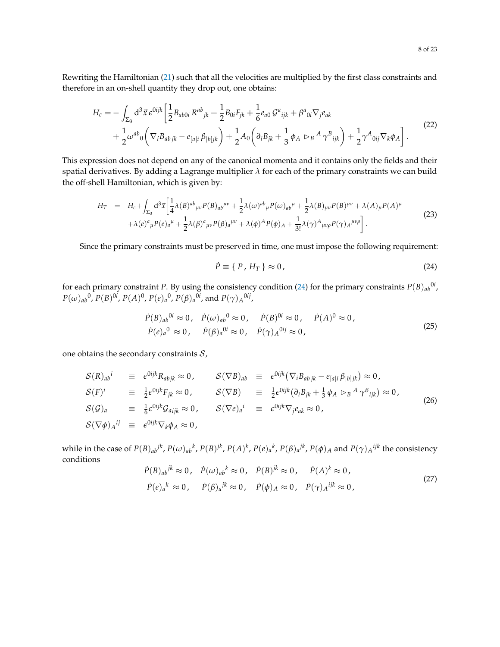Rewriting the Hamiltonian [\(21\)](#page-6-0) such that all the velocities are multiplied by the first class constraints and therefore in an on-shell quantity they drop out, one obtains:

$$
H_{c} = -\int_{\Sigma_{3}} d^{3} \vec{x} \, e^{0ijk} \left[ \frac{1}{2} B_{ab0i} R^{ab}{}_{jk} + \frac{1}{2} B_{0i} F_{jk} + \frac{1}{6} e_{a0} \, \mathcal{G}^{a}{}_{ijk} + \beta^{a}{}_{0i} \nabla_{j} e_{ak} \right. \\
\left. + \frac{1}{2} \omega^{ab}{}_{0} \left( \nabla_{i} B_{ab}{}_{jk} - e_{[a|i} \, \beta_{|b]jk} \right) + \frac{1}{2} A_{0} \left( \partial_{i} B_{jk} + \frac{1}{3} \, \phi_{A} \, \triangleright_{B}{}^{A} \, \gamma^{B}{}_{ijk} \right) + \frac{1}{2} \gamma^{A}{}_{0ij} \nabla_{k} \phi_{A} \right].
$$
\n(22)

This expression does not depend on any of the canonical momenta and it contains only the fields and their spatial derivatives. By adding a Lagrange multiplier  $\lambda$  for each of the primary constraints we can build the off-shell Hamiltonian, which is given by:

$$
H_{T} = H_{c} + \int_{\Sigma_{3}} d^{3} \vec{x} \left[ \frac{1}{4} \lambda (B)^{ab}{}_{\mu\nu} P(B){}_{ab}{}^{\mu\nu} + \frac{1}{2} \lambda (\omega)^{ab}{}_{\mu} P(\omega){}_{ab}{}^{\mu} + \frac{1}{2} \lambda (B){}_{\mu\nu} P(B){}^{\mu\nu} + \lambda (A){}_{\mu} P(A)^{\mu} + \lambda (A)^{a}{}_{\mu} P(\omega){}_{a}{}^{\mu} + \frac{1}{2} \lambda (B)^{a}{}_{\mu\nu} P(\omega){}_{a}{}^{\mu} + \frac{1}{2} \lambda (B)^{a}{}_{\mu\nu} P(\omega){}_{a}{}^{\mu\nu} + \lambda (\phi)^{A} P(\phi){}_{A} + \frac{1}{3!} \lambda (\gamma)^{A}{}_{\mu\nu\rho} P(\gamma){}_{A}{}^{\mu\nu\rho} \right].
$$
\n(23)

Since the primary constraints must be preserved in time, one must impose the following requirement:

<span id="page-7-0"></span>
$$
\dot{P} \equiv \{P, H_T\} \approx 0,\tag{24}
$$

for each primary constraint *P*. By using the consistency condition [\(24\)](#page-7-0) for the primary constraints  $P(B)_{ab}{}^{0i}$ ,  $P(\omega)_{ab}$ <sup>0</sup>,  $P(B)$ <sup>0*i*</sup>,  $P(A)$ <sup>0</sup>,  $P(e)_{a}$ <sup>0</sup>,  $P(\beta)_{a}$ <sup>0*i*</sup>, and  $P(\gamma)_{A}$ <sup>0*ij*</sup>,

$$
\dot{P}(B)_{ab}^{0i} \approx 0, \quad \dot{P}(\omega)_{ab}^{0} \approx 0, \quad \dot{P}(B)^{0i} \approx 0, \quad \dot{P}(A)^{0} \approx 0, \n\dot{P}(e)_{a}^{0} \approx 0, \quad \dot{P}(\beta)_{a}^{0i} \approx 0, \quad \dot{P}(\gamma)_{A}^{0ij} \approx 0,
$$
\n(25)

one obtains the secondary constraints  $S$ ,

$$
S(R)_{ab}{}^{i} \equiv \epsilon^{0ijk} R_{abjk} \approx 0, \t S(\nabla B)_{ab} \equiv \epsilon^{0ijk} (\nabla_{i} B_{abjk} - e_{[a|i} \beta_{|b]jk}) \approx 0, \nS(F)^{i} \equiv \frac{1}{2} \epsilon^{0ijk} F_{jk} \approx 0, \t S(\nabla B) \equiv \frac{1}{2} \epsilon^{0ijk} (\partial_{i} B_{jk} + \frac{1}{3} \phi_{A} \rhd_{B}{}^{A} \gamma^{B}{}_{ijk}) \approx 0, \nS(G)_{a} \equiv \frac{1}{6} \epsilon^{0ijk} G_{aijk} \approx 0, \t S(\nabla e)_{a}{}^{i} \equiv \epsilon^{0ijk} \nabla_{j} e_{ak} \approx 0, \nS(\nabla \phi)_{A}{}^{ij} \equiv \epsilon^{0ijk} \nabla_{k} \phi_{A} \approx 0,
$$
\n(26)

while in the case of  $P(B)_{ab}{}^{jk}$ ,  $P(\omega)_{ab}{}^k$ ,  $P(B)^{jk}$ ,  $P(A)^k$ ,  $P(e)_a{}^k$ ,  $P(\beta)_a{}^{jk}$ ,  $P(\phi)_A$  and  $P(\gamma)_A{}^{ijk}$  the consistency conditions  $k \sim \Omega$   $\vec{p}(p)$ *jk* 

$$
\dot{P}(B)_{ab}{}^{jk} \approx 0, \quad \dot{P}(\omega)_{ab}{}^{k} \approx 0, \quad \dot{P}(B)^{jk} \approx 0, \quad \dot{P}(A)^{k} \approx 0,
$$
\n
$$
\dot{P}(e)_{a}{}^{k} \approx 0, \quad \dot{P}(\beta)_{a}{}^{jk} \approx 0, \quad \dot{P}(\phi)_{A} \approx 0, \quad \dot{P}(\gamma)_{A}{}^{ijk} \approx 0,
$$
\n
$$
(27)
$$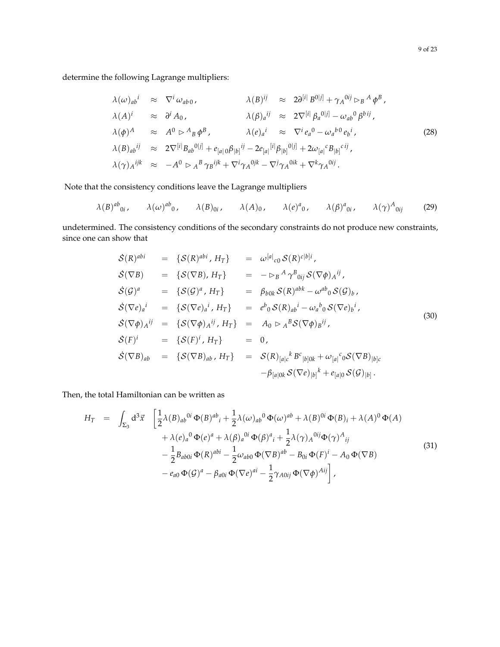determine the following Lagrange multipliers:

$$
\lambda(\omega)_{ab}^{i} \approx \nabla^{i} \omega_{ab0}, \qquad \lambda(B)^{ij} \approx 2\partial^{[i]} B^{0|j]} + \gamma_{A}^{0ij} \rhd_{B} A \phi^{B},
$$
\n
$$
\lambda(A)^{i} \approx \partial^{i} A_{0}, \qquad \lambda(\beta)_{a}^{ij} \approx 2\nabla^{[i]} \beta_{a}^{0|j]} - \omega_{ab}^{0} \beta^{bij},
$$
\n
$$
\lambda(\phi)^{A} \approx A^{0} \rhd A_{B} \phi^{B}, \qquad \lambda(e)_{a}^{i} \approx \nabla^{i} e_{a}^{0} - \omega_{a}^{b}^{0} e_{b}^{i},
$$
\n
$$
\lambda(B)_{ab}^{ij} \approx 2\nabla^{[i]} B_{ab}^{0|j]} + e_{[a|0} \beta_{[b]}^{ij} - 2e_{[a]}^{[i]} \beta_{[b]}^{0|j]} + 2\omega_{[a|}^{c} B_{[b]}^{cij},
$$
\n
$$
\lambda(\gamma)_{A}^{ijk} \approx -A^{0} \rhd_{A}^{B} \gamma_{B}^{ijk} + \nabla^{i} \gamma_{A}^{0jk} - \nabla^{j} \gamma_{A}^{0ik} + \nabla^{k} \gamma_{A}^{0ij}.
$$
\n(28)

Note that the consistency conditions leave the Lagrange multipliers

$$
\lambda(B)^{ab}{}_{0i}, \qquad \lambda(\omega)^{ab}{}_{0}, \qquad \lambda(B){}_{0i}, \qquad \lambda(A){}_{0}, \qquad \lambda(e)^{a}{}_{0}, \qquad \lambda(\beta)^{a}{}_{0i}, \qquad \lambda(\gamma)^{A}{}_{0ij} \qquad (29)
$$

undetermined. The consistency conditions of the secondary constraints do not produce new constraints, since one can show that

$$
\begin{array}{rcl}\n\mathcal{S}(R)^{abi} & = & \{\mathcal{S}(R)^{abi}, H_T\} \\
\mathcal{S}(\nabla B) & = & \{\mathcal{S}(\nabla B), H_T\} \\
\mathcal{S}(G)^a & = & \{\mathcal{S}(G)^a, H_T\} \\
\mathcal{S}(G)^a & = & \{\mathcal{S}(G)^a, H_T\} \\
\mathcal{S}(\nabla e)_a^i & = & \{\mathcal{S}(G)^a, H_T\} \\
\mathcal{S}(\nabla e)_a^i & = & \{\mathcal{S}(\nabla e)_a^i, H_T\} \\
\mathcal{S}(\nabla e)_a^i & = & \{\mathcal{S}(\nabla e)_a^i, H_T\} \\
\mathcal{S}(\nabla \phi)_A^{ij} & = & \{\mathcal{S}(\nabla \phi)_A^{ij}, H_T\} \\
\mathcal{S}(\nabla \phi)_A^{ij} & = & \{\mathcal{S}(\nabla \phi)_A^{ij}, H_T\} \\
\mathcal{S}(F)^i & = & \{\mathcal{S}(F)^i, H_T\} \\
\mathcal{S}(\nabla B)_{ab} & = & \{\mathcal{S}(F)^i, H_T\} \\
\mathcal{S}(\nabla B)_{ab}, H_T\} & = & \mathcal{S}(R)_{[a]c}{}^k B^c_{[b]0k} + \omega_{[a]}{}^c{}_0 \mathcal{S}(\nabla B)_{[b]c} \\
& & -\beta_{[a]0k} \mathcal{S}(\nabla e)_{[b]}{}^k + e_{[a]0} \mathcal{S}(G)_{[b]}.\n\end{array}
$$
\n(30)

Then, the total Hamiltonian can be written as

$$
H_T = \int_{\Sigma_3} d^3 \vec{x} \left[ \frac{1}{2} \lambda (B)_{ab}^{0i} \Phi(B)^{ab}{}_i + \frac{1}{2} \lambda (\omega)_{ab}^{0} \Phi(\omega)^{ab} + \lambda (B)^{0i} \Phi(B)_i + \lambda (A)^0 \Phi(A) \right. \\ \left. + \lambda (e)_a^{0} \Phi(e)^a + \lambda (\beta)_a^{0i} \Phi(\beta)^a{}_i + \frac{1}{2} \lambda (\gamma)_A^{0ij} \Phi(\gamma)^A{}_{ij} \right. \\ \left. - \frac{1}{2} B_{ab0i} \Phi(R)^{abi} - \frac{1}{2} \omega_{ab0} \Phi(\nabla B)^{ab} - B_{0i} \Phi(F)^i - A_0 \Phi(\nabla B) \right. \\ \left. - e_{a0} \Phi(\mathcal{G})^a - \beta_{a0i} \Phi(\nabla e)^{ai} - \frac{1}{2} \gamma_{A0ij} \Phi(\nabla \phi)^{Aij} \right], \tag{31}
$$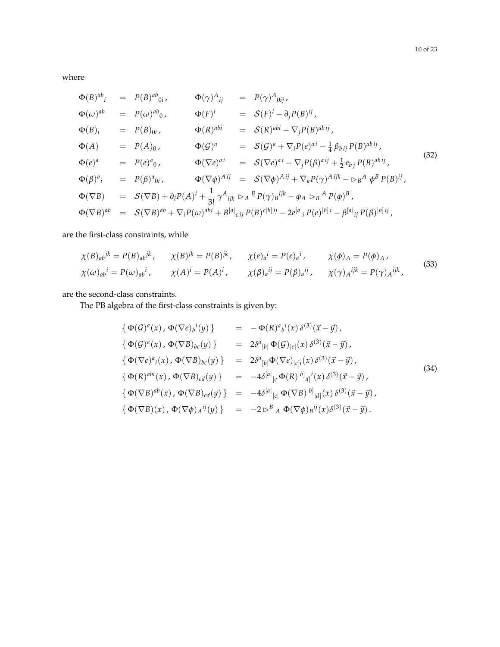where

$$
\Phi(B)^{ab} = P(B)^{ab}{}_{0i}, \qquad \Phi(\gamma)^{A}{}_{ij} = P(\gamma)^{A}{}_{0ij}, \n\Phi(\omega)^{ab} = P(\omega)^{ab}{}_{0}, \qquad \Phi(F)^{i} = S(F)^{i} - \partial_{j}P(B)^{ij}, \n\Phi(B)_{i} = P(B)_{0i}, \qquad \Phi(R)^{abi} = S(R)^{abi} - \nabla_{j}P(B)^{abi}{}_{j}, \n\Phi(A) = P(A)_{0}, \qquad \Phi(G)^{a} = S(G)^{a} + \nabla_{i}P(e)^{ai} - \frac{1}{4}\beta_{bij}P(B)^{abi}{}_{j}, \n\Phi(e)^{a} = P(e)^{a}{}_{0}, \qquad \Phi(\nabla e)^{ai} = S(\nabla e)^{ai} - \nabla_{j}P(\beta)^{ai}{}_{j} + \frac{1}{2}e_{bj}P(B)^{abi}{}_{j}, \n\Phi(\beta)^{a}{}_{i} = P(\beta)^{a}{}_{0i}, \qquad \Phi(\nabla \phi)^{Aij} = S(\nabla \phi)^{Aij} + \nabla_{k}P(\gamma)^{Aijk} - \nabla_{j}A \phi^{B}P(B)^{ij}, \n\Phi(\nabla B) = S(\nabla B) + \partial_{i}P(A)^{i} + \frac{1}{3!}\gamma^{A}{}_{ijk} \rhd_{A}{}^{B}P(\gamma){}_{B}{}^{ijk} - \phi_{A} \rhd_{B}{}^{A}P(\phi)^{B}, \n\Phi(\nabla B)^{ab} = S(\nabla B)^{ab} + \nabla_{i}P(\omega)^{abi} + B^{[a]}{}_{cij}P(B)^{c|b|ij} - 2e^{[a]}{}_{i}P(e)^{[b]i} - \beta^{[a]}{}_{ij}P(\beta)^{[b]ij},
$$
\n(32)

are the first-class constraints, while

$$
\chi(B)_{ab}{}^{jk} = P(B)_{ab}{}^{jk}, \qquad \chi(B){}^{jk} = P(B){}^{jk}, \qquad \chi(e)_a{}^i = P(e)_a{}^i, \qquad \chi(\phi)_A = P(\phi)_A,
$$
  

$$
\chi(\omega)_{ab}{}^i = P(\omega)_{ab}{}^i, \qquad \chi(A){}^i = P(A){}^i, \qquad \chi(\beta)_a{}^{ij} = P(\beta)_a{}^{ij}, \qquad \chi(\gamma)_A{}^{ijk} = P(\gamma)_A{}^{ijk}, \qquad (33)
$$

are the second-class constraints.

The PB algebra of the first-class constraints is given by:

<span id="page-9-0"></span>
$$
\begin{array}{rcl}\n\{\ \Phi(\mathcal{G})^{a}(x),\ \Phi(\nabla e)_{b}{}^{i}(y)\ \} & = & -\Phi(R)^{a}{}_{b}{}^{i}(x)\ \delta^{(3)}(\vec{x}-\vec{y})\, \\
\{\ \Phi(\mathcal{G})^{a}(x),\ \Phi(\nabla B)_{bc}(y)\ \} & = & 2\delta^{a}{}_{[b|}\ \Phi(\mathcal{G})_{|c|}(x)\ \delta^{(3)}(\vec{x}-\vec{y})\, \\
\{\ \Phi(\nabla e)^{a}{}_{i}(x),\ \Phi(\nabla B)_{bc}(y)\ \} & = & 2\delta^{a}{}_{[b|}\Phi(\nabla e)_{|c]i}(x)\ \delta^{(3)}(\vec{x}-\vec{y})\, \\
\{\ \Phi(R)^{abi}(x),\ \Phi(\nabla B)_{cd}(y)\ \} & = & -4\delta^{[a]}{}_{[c}\ \Phi(R)^{[b]}{}_{d]i}(x)\ \delta^{(3)}(\vec{x}-\vec{y})\, \\
\{\ \Phi(\nabla B)^{ab}(x),\ \Phi(\nabla B)_{cd}(y)\ \} & = & -4\delta^{[a]}{}_{[c|}\ \Phi(\nabla B)^{[b]}{}_{|d]}(x)\ \delta^{(3)}(\vec{x}-\vec{y})\, \\
\{\ \Phi(\nabla B)(x),\ \Phi(\nabla \phi)_{A}{}^{ij}(y)\ \} & = & -2\ \triangleright^{B}{}_{A}\ \Phi(\nabla \phi)_{B}{}^{ij}(x)\ \delta^{(3)}(\vec{x}-\vec{y})\,.\n\end{array}\n\tag{34}
$$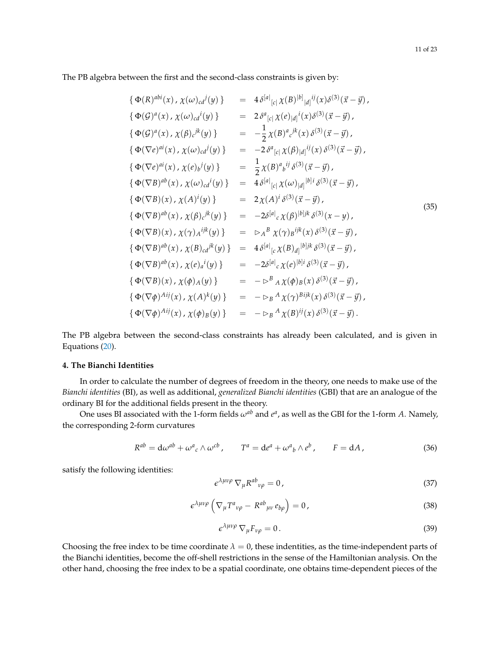$$
\begin{array}{rcl}\n\{\Phi(R)^{abi}(x), \chi(\omega)_{cd}^{j}(y)\} & = & 4\delta^{[a]}_{[c|}\chi(B)^{[b]}_{[d]}^{ij}(x)\delta^{(3)}(\vec{x}-\vec{y}) \\
\{\Phi(G)^{a}(x), \chi(\omega)_{cd}^{i}(y)\} & = & 2\delta^{a}_{[c|}\chi(e)_{[d]}^{i}(x)\delta^{(3)}(\vec{x}-\vec{y}) \\
\{\Phi(G)^{a}(x), \chi(\beta)_{c}^{jk}(y)\} & = & -\frac{1}{2}\chi(B)^{a}{}_{c}^{jk}(x)\delta^{(3)}(\vec{x}-\vec{y}) \\
\{\Phi(\nabla e)^{ai}(x), \chi(\omega)_{cd}^{j}(y)\} & = & -2\delta^{a}{}_{[c|}\chi(\beta)_{[d]}^{ij}(x)\delta^{(3)}(\vec{x}-\vec{y}) \\
\{\Phi(\nabla e)^{ai}(x), \chi(\omega)_{cd}^{j}(y)\} & = & \frac{1}{2}\chi(B)^{a}{}_{b}^{ij}\delta^{(3)}(\vec{x}-\vec{y}) \\
\{\Phi(\nabla B)^{ab}(x), \chi(\omega)_{cd}^{i}(y)\} & = & 4\delta^{[a]}{}_{[c|}\chi(\omega)_{[d]}^{[b]i}\delta^{(3)}(\vec{x}-\vec{y}) \\
\{\Phi(\nabla B)(x), \chi(A)^{i}(y)\} & = & 2\chi(A)^{i}\delta^{(3)}(\vec{x}-\vec{y}) \\
\{\Phi(\nabla B)^{ab}(x), \chi(\beta)_{c}^{jk}(y)\} & = & -2\delta^{[a]}{}_{c}\chi(\beta)^{[b]jk}\delta^{(3)}(x-y), \\
\{\Phi(\nabla B)^{ab}(x), \chi(\gamma)_{a}^{ijk}(y)\} & = & \triangleright_{A}^{B}\chi(\gamma)_{B}^{ijk}(x)\delta^{(3)}(\vec{x}-\vec{y}) \\
\{\Phi(\nabla B)^{ab}(x), \chi(e)_{a}^{jk}(y)\} & = & -2\delta^{[a]}{}_{c}\chi(B)_{d|}^{[b]jk}\delta^{(3)}(\vec{x}-\vec{y}) \\
\{\Phi(\nabla B)^{ab}(x), \chi(e)_{a}^{j}(y)\} & = & -2\delta^{[a]}{}_{c}\chi(e)^
$$

The PB algebra between the second-class constraints has already been calculated, and is given in Equations [\(20\)](#page-6-1).

## <span id="page-10-0"></span>**4. The Bianchi Identities**

In order to calculate the number of degrees of freedom in the theory, one needs to make use of the *Bianchi identities* (BI), as well as additional, *generalized Bianchi identities* (GBI) that are an analogue of the ordinary BI for the additional fields present in the theory.

One uses BI associated with the 1-form fields  $\omega^{ab}$  and  $e^a$ , as well as the GBI for the 1-form *A*. Namely, the corresponding 2-form curvatures

$$
R^{ab} = d\omega^{ab} + \omega^a{}_c \wedge \omega^{cb} , \qquad T^a = de^a + \omega^a{}_b \wedge e^b , \qquad F = dA , \qquad (36)
$$

satisfy the following identities:

<span id="page-10-2"></span>
$$
\epsilon^{\lambda\mu\nu\rho} \nabla_{\mu} R^{ab}{}_{\nu\rho} = 0 \,, \tag{37}
$$

<span id="page-10-3"></span>
$$
\epsilon^{\lambda\mu\nu\rho} \left( \nabla_{\mu} T^{a}{}_{\nu\rho} - R^{ab}{}_{\mu\nu} e_{b\rho} \right) = 0, \qquad (38)
$$

<span id="page-10-1"></span>
$$
\epsilon^{\lambda\mu\nu\rho} \nabla_{\mu} F_{\nu\rho} = 0. \tag{39}
$$

Choosing the free index to be time coordinate  $\lambda = 0$ , these indentities, as the time-independent parts of the Bianchi identities, become the off-shell restrictions in the sense of the Hamiltonian analysis. On the other hand, choosing the free index to be a spatial coordinate, one obtains time-dependent pieces of the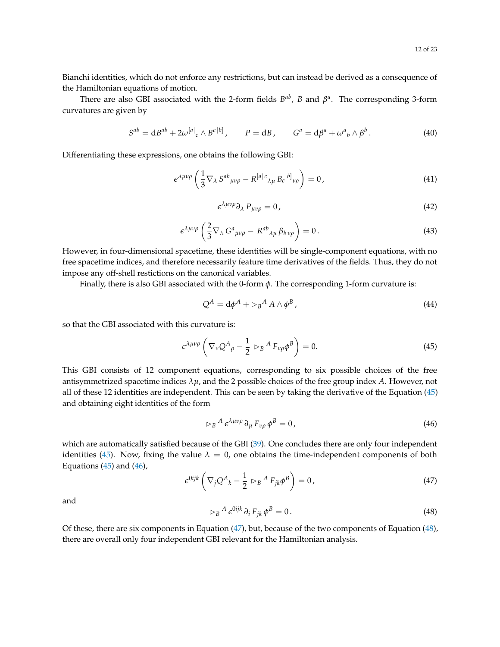Bianchi identities, which do not enforce any restrictions, but can instead be derived as a consequence of the Hamiltonian equations of motion.

There are also GBI associated with the 2-form fields  $B^{ab}$ , *B* and  $\beta^a$ . The corresponding 3-form curvatures are given by

$$
S^{ab} = dB^{ab} + 2\omega^{[a]}_c \wedge B^{c\,b]}, \qquad P = dB, \qquad G^a = d\beta^a + \omega^a{}_b \wedge \beta^b. \tag{40}
$$

Differentiating these expressions, one obtains the following GBI:

$$
\epsilon^{\lambda\mu\nu\rho}\left(\frac{1}{3}\nabla_{\lambda} S^{ab}{}_{\mu\nu\rho} - R^{[a|c}{}_{\lambda\mu} B_c{}^{[b]}{}_{\nu\rho}\right) = 0, \qquad (41)
$$

$$
\epsilon^{\lambda\mu\nu\rho}\partial_{\lambda} P_{\mu\nu\rho} = 0, \qquad (42)
$$

$$
\epsilon^{\lambda\mu\nu\rho}\left(\frac{2}{3}\nabla_{\lambda}G^{a}{}_{\mu\nu\rho}-R^{ab}{}_{\lambda\mu}\beta_{b\nu\rho}\right)=0.
$$
\n(43)

However, in four-dimensional spacetime, these identities will be single-component equations, with no free spacetime indices, and therefore necessarily feature time derivatives of the fields. Thus, they do not impose any off-shell restictions on the canonical variables.

Finally, there is also GBI associated with the 0-form *φ*. The corresponding 1-form curvature is:

$$
Q^A = d\phi^A + \rhd_B{}^A A \wedge \phi^B \,, \tag{44}
$$

so that the GBI associated with this curvature is:

<span id="page-11-0"></span>
$$
\epsilon^{\lambda\mu\nu\rho}\left(\nabla_{\nu}Q^{A}{}_{\rho}-\frac{1}{2}\vartriangleright_{B}{}^{A}F_{\nu\rho}\phi^{B}\right)=0.\tag{45}
$$

This GBI consists of 12 component equations, corresponding to six possible choices of the free antisymmetrized spacetime indices  $\lambda \mu$ , and the 2 possible choices of the free group index  $A$ . However, not all of these 12 identities are independent. This can be seen by taking the derivative of the Equation [\(45\)](#page-11-0) and obtaining eight identities of the form

<span id="page-11-1"></span>
$$
\triangleright_B{}^A \epsilon^{\lambda \mu \nu \rho} \partial_\mu F_{\nu \rho} \phi^B = 0, \qquad (46)
$$

which are automatically satisfied because of the GBI [\(39\)](#page-10-1). One concludes there are only four independent identities [\(45\)](#page-11-0). Now, fixing the value  $\lambda = 0$ , one obtains the time-independent components of both Equations  $(45)$  and  $(46)$ ,

<span id="page-11-2"></span>
$$
\epsilon^{0ijk} \left( \nabla_j Q^A{}_k - \frac{1}{2} \, \rhd_B^A F_{jk} \phi^B \right) = 0 \,, \tag{47}
$$

and

<span id="page-11-3"></span>
$$
\vartriangleright_B{}^A \, \epsilon^{0ijk} \, \partial_i \, F_{jk} \, \phi^B = 0 \,. \tag{48}
$$

Of these, there are six components in Equation [\(47\)](#page-11-2), but, because of the two components of Equation [\(48\)](#page-11-3), there are overall only four independent GBI relevant for the Hamiltonian analysis.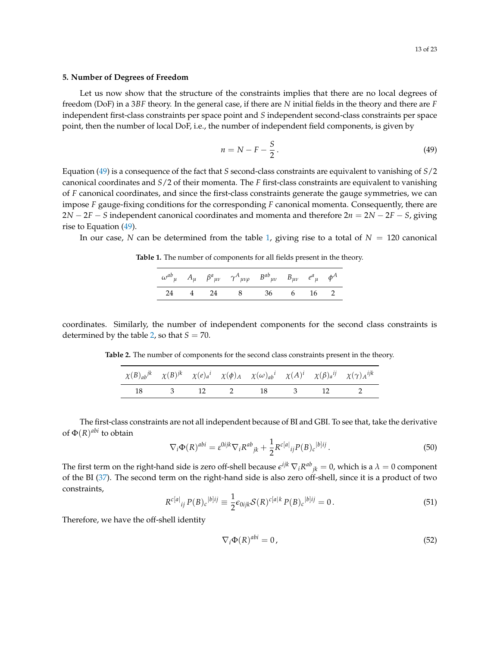## <span id="page-12-0"></span>**5. Number of Degrees of Freedom**

Let us now show that the structure of the constraints implies that there are no local degrees of freedom (DoF) in a 3*BF* theory. In the general case, if there are *N* initial fields in the theory and there are *F* independent first-class constraints per space point and *S* independent second-class constraints per space point, then the number of local DoF, i.e., the number of independent field components, is given by

<span id="page-12-1"></span>
$$
n = N - F - \frac{S}{2} \,. \tag{49}
$$

Equation [\(49\)](#page-12-1) is a consequence of the fact that *S* second-class constraints are equivalent to vanishing of *S*/2 canonical coordinates and *S*/2 of their momenta. The *F* first-class constraints are equivalent to vanishing of *F* canonical coordinates, and since the first-class constraints generate the gauge symmetries, we can impose *F* gauge-fixing conditions for the corresponding *F* canonical momenta. Consequently, there are 2*N* − 2*F* − *S* independent canonical coordinates and momenta and therefore 2*n* = 2*N* − 2*F* − *S*, giving rise to Equation [\(49\)](#page-12-1).

<span id="page-12-2"></span>In our case, *N* can be determined from the table [1,](#page-12-2) giving rise to a total of  $N = 120$  canonical

**Table 1.** The number of components for all fields present in the theory.

|  | $\omega^{ab}{}_{\mu}$ $A_{\mu}$ $\beta^{a}{}_{\mu\nu}$ $\gamma^{A}{}_{\mu\nu\rho}$ $B^{ab}{}_{\mu\nu}$ $B_{\mu\nu}$ $e^{a}{}_{\mu}$ $\phi^{A}$ |  |  |
|--|------------------------------------------------------------------------------------------------------------------------------------------------|--|--|
|  | 24 4 24 8 36 6 16 2                                                                                                                            |  |  |

<span id="page-12-3"></span>coordinates. Similarly, the number of independent components for the second class constraints is determined by the table [2,](#page-12-3) so that  $S = 70$ .

**Table 2.** The number of components for the second class constraints present in the theory.

| $\chi(B)_{ab}j^k$ $\chi(B)^{jk}$ $\chi(e)^{i}_{a}$ $\chi(\phi)_{A}$ $\chi(\omega)_{ab}^{i}$ $\chi(A)^{i}$ $\chi(\beta)_{a}^{ij}$ $\chi(\gamma)_{A}^{ijk}$ |  |                   |  |  |
|-----------------------------------------------------------------------------------------------------------------------------------------------------------|--|-------------------|--|--|
|                                                                                                                                                           |  | 18 3 12 2 18 3 12 |  |  |

The first-class constraints are not all independent because of BI and GBI. To see that, take the derivative of Φ(*R*) *abi* to obtain

$$
\nabla_i \Phi(R)^{abi} = \varepsilon^{0ijk} \nabla_i R^{ab}{}_{jk} + \frac{1}{2} R^{c[a]}{}_{ij} P(B)_c{}^{|b]ij}.
$$
\n
$$
(50)
$$

The first term on the right-hand side is zero off-shell because  $\epsilon^{ijk}\nabla_iR^{ab}{}_{jk}=0$ , which is a  $\lambda=0$  component of the BI [\(37\)](#page-10-2). The second term on the right-hand side is also zero off-shell, since it is a product of two constraints,

$$
R^{c[a]}_{ij} P(B)_c{}^{|b]ij} \equiv \frac{1}{2} \epsilon_{0ijk} S(R)^{c[a|k]} P(B)_c{}^{|b]ij} = 0.
$$
 (51)

Therefore, we have the off-shell identity

<span id="page-12-4"></span>
$$
\nabla_i \Phi(R)^{abi} = 0,\t\t(52)
$$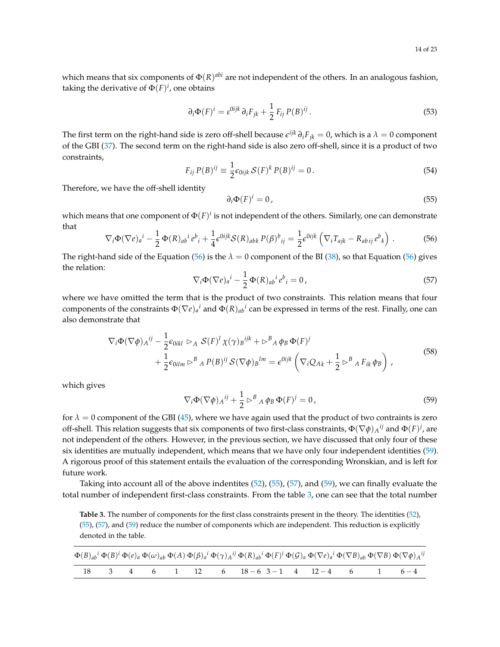which means that six components of  $\Phi(R)^{abi}$  are not independent of the others. In an analogous fashion, taking the derivative of  $\Phi(F)^i$ , one obtains

$$
\partial_i \Phi(F)^i = \varepsilon^{0ijk} \partial_i F_{jk} + \frac{1}{2} F_{ij} P(B)^{ij}.
$$
 (53)

The first term on the right-hand side is zero off-shell because  $\epsilon^{ijk}\,\partial_iF_{jk}=0$ , which is a  $\lambda=0$  component of the GBI [\(37\)](#page-10-2). The second term on the right-hand side is also zero off-shell, since it is a product of two constraints,

$$
F_{ij} P(B)^{ij} \equiv \frac{1}{2} \epsilon_{0ijk} \mathcal{S}(F)^k P(B)^{ij} = 0.
$$
\n
$$
(54)
$$

Therefore, we have the off-shell identity

<span id="page-13-2"></span>
$$
\partial_i \Phi(F)^i = 0 \tag{55}
$$

which means that one component of  $\Phi(F)^i$  is not independent of the others. Similarly, one can demonstrate that

<span id="page-13-0"></span>
$$
\nabla_i \Phi(\nabla e)_a{}^i - \frac{1}{2} \Phi(R)_{ab}{}^i e^b{}_i + \frac{1}{4} \epsilon^{0ijk} \mathcal{S}(R)_{abb} P(\beta)^b{}_{ij} = \frac{1}{2} \epsilon^{0ijk} \left( \nabla_i T_{ajk} - R_{ab\,ij} e^b{}_k \right) \,. \tag{56}
$$

The right-hand side of the Equation [\(56\)](#page-13-0) is the  $\lambda = 0$  component of the BI [\(38\)](#page-10-3), so that Equation (56) gives the relation:

<span id="page-13-3"></span>
$$
\nabla_i \Phi(\nabla e)_a{}^i - \frac{1}{2} \Phi(R)_{ab}{}^i e^b{}_i = 0, \qquad (57)
$$

where we have omitted the term that is the product of two constraints. This relation means that four components of the constraints  $\Phi(\nabla e)_a{}^i$  and  $\Phi(R)_{ab}{}^i$  can be expressed in terms of the rest. Finally, one can also demonstrate that

$$
\nabla_i \Phi(\nabla \phi)_{A}^{ij} - \frac{1}{2} \epsilon_{0ikl} \rhd_A \mathcal{S}(F)^l \chi(\gamma)_B^{ijk} + \rhd^B{}_A \phi_B \Phi(F)^j
$$
  
+ 
$$
\frac{1}{2} \epsilon_{0ilm} \rhd^B{}_A P(B)^{ij} \mathcal{S}(\nabla \phi)_B^{lm} = \epsilon^{0ijk} \left( \nabla_i Q_{Ak} + \frac{1}{2} \rhd^B{}_A F_{ik} \phi_B \right) ,
$$
 (58)

which gives

<span id="page-13-1"></span>
$$
\nabla_i \Phi (\nabla \phi)_A{}^{ij} + \frac{1}{2} \rhd^B {}_A \phi_B \Phi (F)^j = 0, \qquad (59)
$$

for  $\lambda = 0$  component of the GBI [\(45\)](#page-11-0), where we have again used that the product of two contraints is zero off-shell. This relation suggests that six components of two first-class constraints,  $\Phi(\nabla\phi)_A{}^{ij}$  and  $\Phi(F)^j$ , are not independent of the others. However, in the previous section, we have discussed that only four of these six identities are mutually independent, which means that we have only four independent identities [\(59\)](#page-13-1). A rigorous proof of this statement entails the evaluation of the corresponding Wronskian, and is left for future work.

Taking into account all of the above indentites [\(52\)](#page-12-4), [\(55\)](#page-13-2), [\(57\)](#page-13-3), and [\(59\)](#page-13-1), we can finally evaluate the total number of independent first-class constraints. From the table [3,](#page-13-4) one can see that the total number

<span id="page-13-4"></span>**Table 3.** The number of components for the first class constraints present in the theory. The identities [\(52\)](#page-12-4), [\(55\)](#page-13-2), [\(57\)](#page-13-3), and [\(59\)](#page-13-1) reduce the number of components which are independent. This reduction is explicitly denoted in the table.

|  |  |  | $\Phi(B)_{ab}{}^i \Phi(B)^i \Phi(e)_a \Phi(\omega)_{ab} \Phi(A) \Phi(\beta)_a{}^i \Phi(\gamma)_A{}^{ij} \Phi(R)_{ab}{}^i \Phi(F)^i \Phi(\mathcal{G})_a \Phi(\nabla e)_a{}^i \Phi(\nabla B)_{ab} \Phi(\nabla B) \Phi(\nabla \phi) A^{ij}$ |  |  |  |
|--|--|--|------------------------------------------------------------------------------------------------------------------------------------------------------------------------------------------------------------------------------------------|--|--|--|
|  |  |  | $3 \quad 4 \quad 6 \quad 1 \quad 12 \quad 6 \quad 18-6 \quad 3-1 \quad 4 \quad 12-4 \quad 6 \quad 1 \quad 6-4$                                                                                                                           |  |  |  |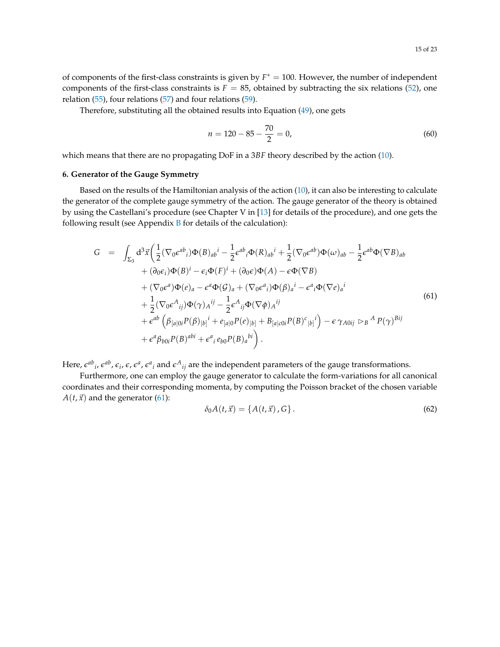Therefore, substituting all the obtained results into Equation [\(49\)](#page-12-1), one gets

$$
n = 120 - 85 - \frac{70}{2} = 0,\tag{60}
$$

which means that there are no propagating DoF in a 3*BF* theory described by the action [\(10\)](#page-4-1).

#### <span id="page-14-0"></span>**6. Generator of the Gauge Symmetry**

Based on the results of the Hamiltonian analysis of the action [\(10\)](#page-4-1), it can also be interesting to calculate the generator of the complete gauge symmetry of the action. The gauge generator of the theory is obtained by using the Castellani's procedure (see Chapter V in [\[13\]](#page-21-12) for details of the procedure), and one gets the following result (see Appendix  $B$  for details of the calculation):

<span id="page-14-1"></span>
$$
G = \int_{\Sigma_{3}} d^{3} \vec{x} \left( \frac{1}{2} (\nabla_{0} \epsilon^{ab}{}_{i}) \Phi(B)_{ab}{}^{i} - \frac{1}{2} \epsilon^{ab}{}_{i} \Phi(R)_{ab}{}^{i} + \frac{1}{2} (\nabla_{0} \epsilon^{ab}) \Phi(\omega)_{ab} - \frac{1}{2} \epsilon^{ab} \Phi(\nabla B)_{ab} \right. \\ \left. + (\partial_{0} \epsilon_{i}) \Phi(B){}^{i} - \epsilon_{i} \Phi(F){}^{i} + (\partial_{0} \epsilon) \Phi(A) - \epsilon \Phi(\nabla B) \right. \\ \left. + (\nabla_{0} \epsilon^{a}) \Phi(e)_{a} - \epsilon^{a} \Phi(\mathcal{G})_{a} + (\nabla_{0} \epsilon^{a}{}_{i}) \Phi(\beta)_{a}{}^{i} - \epsilon^{a}{}_{i} \Phi(\nabla e)_{a}{}^{i} \right. \\ \left. + \frac{1}{2} (\nabla_{0} \epsilon^{A}{}_{ij}) \Phi(\gamma)_{A}{}^{ij} - \frac{1}{2} \epsilon^{A}{}_{ij} \Phi(\nabla \phi)_{A}{}^{ij} \right. \\ \left. + \epsilon^{ab} \left( \beta_{[a|0i} P(\beta)_{|b]}{}^{i} + e_{[a|0} P(e)_{|b]} + B_{[a|c0i} P(B)^{c}{}_{|b]}{}^{i} \right) - \epsilon \gamma_{A0ij} \rhd_{B}{}^{A} P(\gamma)_{Bij} \right. \\ \left. + \epsilon^{a} \beta_{b0i} P(B)^{abi} + \epsilon^{a}{}_{i} e_{b0} P(B)_{a}{}^{bi} \right).
$$

Here,  $\epsilon^{ab}{}_i$ ,  $\epsilon^{ab}$ ,  $\epsilon_i$ ,  $\epsilon$ ,  $\epsilon^a$ ,  $\epsilon^a{}_i$  and  $\epsilon^A{}_{ij}$  are the independent parameters of the gauge transformations.

Furthermore, one can employ the gauge generator to calculate the form-variations for all canonical coordinates and their corresponding momenta, by computing the Poisson bracket of the chosen variable  $A(t, \vec{x})$  and the generator [\(61\)](#page-14-1):

$$
\delta_0 A(t, \vec{x}) = \{A(t, \vec{x}), G\}.
$$
\n(62)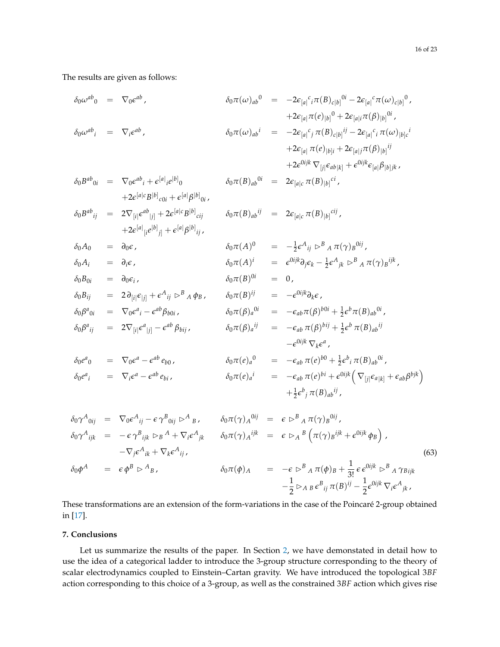The results are given as follows:

$$
\delta_0 \omega^{ab}{}_0 = \nabla_0 \epsilon^{ab} ,\n\delta_0 \pi(\omega)_{ab}{}^0 = -2\epsilon_{[a]}{}^c{}_i \pi(B)_{c|b]}{}^{0i} - 2\epsilon_{[a]}{}^c \pi(\omega)_{c|b]}{}^0 ,\n+2\epsilon_{[a]}{}^i \pi(e)_{|b]}{}^{0i} + 2\epsilon_{[a|i}{}^i \pi(\beta)_{|b]}{}^{0i} ,\n\delta_0 \omega^{ab}{}_i = \nabla_i \epsilon^{ab} ,\n\delta_0 \pi(\omega)_{ab}{}^i = -2\epsilon_{[a]}{}^c{}_j \pi(B)_{c|b]}{}^{ij} - 2\epsilon_{[a]}{}^c{}_i \pi(\omega)_{|b]c}{}^i + 2\epsilon_{[a]}{}^j \pi(e)_{|b]i} + 2\epsilon_{[a]}{}^j \pi(\beta)_{|b]}{}^{ij} + 2\epsilon_{[a]}{}^j \pi(\beta)_{|b]}{}^{ij}
$$
\n
$$
\delta_0 B^{ab}{}_{0i} = \nabla_0 \epsilon^{ab}{}_i + \epsilon^{[a]}{}_i e^{[b]}{}_0 \qquad \delta_0 \pi(B)_{ab}{}^{0i} = 2\epsilon_{[a]c}{}^c \pi(B)_{|b]}{}^{0i} ,
$$

$$
\delta_0 B^{ab}{}_{ij} = 2 \nabla_{[i|} \epsilon^{ab}{}_{|j]} + 2 \epsilon^{[a|c} B^{[b]}{}_{cij} \qquad \delta_0 \pi(B)_{ab}{}^{ij} = 2 \epsilon_{[a|c} \pi(B)_{|b]}{}^{cij},
$$
  
 
$$
+ 2 \epsilon^{[a]}{}_{[i} e^{[b]}{}_{j]} + \epsilon^{[a|} \beta^{[b]}{}_{ij},
$$

 $+2\epsilon^{[a|c}B^{[b]}{}_{c0i} + \epsilon^{[a|}\beta^{[b]}{}_{0i}$ 

$$
\begin{array}{rcl}\n\delta_0 A_0 & = & \partial_0 \epsilon \,, \\
\delta_0 \pi(A)^0 & = & -\frac{1}{2} \epsilon^A{}_{ij} \triangleright^B {}_A \pi(\gamma){}_B^{0ij} \,, \\
\delta_0 A_i & = & \partial_i \epsilon \,, \\
\delta_0 \pi(A)^i & = & \epsilon^{0ijk} \partial_j \epsilon_k - \frac{1}{2} \epsilon^A{}_{jk} \triangleright^B {}_A \pi(\gamma){}_B^{ijk} \,,\n\end{array}
$$

$$
\delta_0 B_{0i} = \partial_0 \epsilon_i, \qquad \delta_0 \pi(B)^{0i} = 0, \n\delta_0 B_{ij} = 2 \partial_{[i|} \epsilon_{|j]} + \epsilon^A{}_{ij} \rhd^B{}_A \phi_B, \qquad \delta_0 \pi(B)^{ij} = -\epsilon^{0ijk} \partial_k \epsilon, \n\delta_0 \beta^a{}_{0i} = \nabla_0 \epsilon^a{}_i - \epsilon^{ab} \beta_{b0i}, \qquad \delta_0 \pi(\beta)_a{}^{0i} = -\epsilon_{ab} \pi(\beta)^{b0i} + \frac{1}{2} \epsilon^b \pi(B)_{ab}{}^{0i}, \n\delta_0 \beta^a{}_{ij} = 2 \nabla_{[i|} \epsilon^a{}_{|j]} - \epsilon^{ab} \beta_{bij}, \qquad \delta_0 \pi(\beta)_a{}^{ij} = -\epsilon_{ab} \pi(\beta)^{bij} + \frac{1}{2} \epsilon^b \pi(B)_{ab}{}^{ij}
$$

$$
\delta_0 e^a{}_0 = \nabla_0 \epsilon^a - \epsilon^{ab} e_{b0},
$$
\n
$$
\delta_0 \pi(e)_a{}^0 = -\epsilon_{ab} \pi(e)^{b0} + \frac{1}{2} \epsilon^b{}_i \pi(B)_{ab}{}^{0i},
$$
\n
$$
\delta_0 e^a{}_i = \nabla_i \epsilon^a - \epsilon^{ab} e_{bi},
$$
\n
$$
\delta_0 \pi(e)_a{}^i = -\epsilon_{ab} \pi(e)^{b0} + \epsilon^{0ijk} \left( \nabla_{[j|} \epsilon_{a|k]} + \epsilon_{ab} \beta^{bjk} \right)
$$
\n
$$
+ \frac{1}{2} \epsilon^b{}_j \pi(B)_{ab}{}^{ij},
$$

$$
\delta_0 \gamma^A_{\,0ij} = \nabla_0 \epsilon^A_{\,ij} - \epsilon \gamma^B_{\,0ij} \rhd^A{}_B, \qquad \delta_0 \pi(\gamma)_A^{\,0ij} = \epsilon \rhd^B{}_A \pi(\gamma)_B^{\,0ij},
$$
\n
$$
\delta_0 \gamma^A_{\,ijk} = -\epsilon \gamma^B_{\,ijk} \rhd_B A + \nabla_i \epsilon^A_{\,jk} \qquad \delta_0 \pi(\gamma)_A^{\,ijk} = \epsilon \rhd_A{}^B \left( \pi(\gamma)_B^{\,ijk} + \epsilon^{0ijk} \phi_B \right),
$$
\n
$$
-\nabla_j \epsilon^A_{\,ik} + \nabla_k \epsilon^A_{\,ij}, \qquad \delta_0 \pi(\phi)_A = -\epsilon \rhd^B{}_A \pi(\phi)_B + \frac{1}{3!} \epsilon \epsilon^{0ijk} \rhd^B{}_A \gamma_{Bijk}
$$
\n
$$
-\frac{1}{2} \rhd_A{}_B \epsilon^B_{\,ij} \pi(B)^{ij} - \frac{1}{2} \epsilon^{0ijk} \nabla_i \epsilon^A_{\,jk},
$$
\n(63)

These transformations are an extension of the form-variations in the case of the Poincaré 2-group obtained in [\[17\]](#page-22-2).

## <span id="page-15-0"></span>**7. Conclusions**

Let us summarize the results of the paper. In Section [2,](#page-2-0) we have demonstated in detail how to use the idea of a categorical ladder to introduce the 3-group structure corresponding to the theory of scalar electrodynamics coupled to Einstein–Cartan gravity. We have introduced the topological 3*BF* action corresponding to this choice of a 3-group, as well as the constrained 3*BF* action which gives rise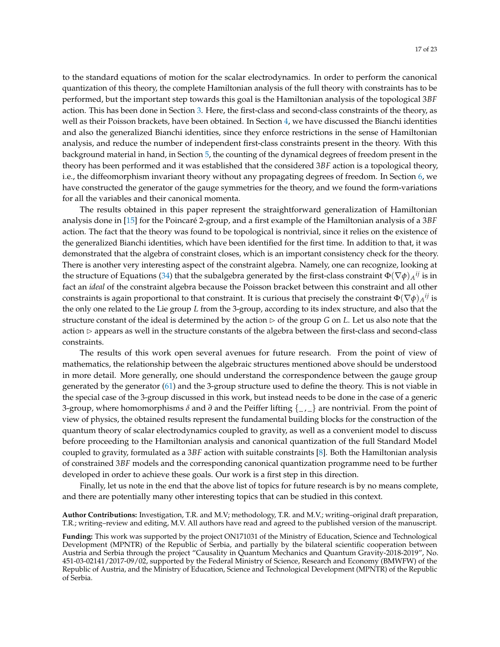to the standard equations of motion for the scalar electrodynamics. In order to perform the canonical quantization of this theory, the complete Hamiltonian analysis of the full theory with constraints has to be performed, but the important step towards this goal is the Hamiltonian analysis of the topological 3*BF* action. This has been done in Section [3.](#page-5-0) Here, the first-class and second-class constraints of the theory, as well as their Poisson brackets, have been obtained. In Section [4,](#page-10-0) we have discussed the Bianchi identities and also the generalized Bianchi identities, since they enforce restrictions in the sense of Hamiltonian analysis, and reduce the number of independent first-class constraints present in the theory. With this background material in hand, in Section [5,](#page-12-0) the counting of the dynamical degrees of freedom present in the theory has been performed and it was established that the considered 3*BF* action is a topological theory, i.e., the diffeomorphism invariant theory without any propagating degrees of freedom. In Section [6,](#page-14-0) we have constructed the generator of the gauge symmetries for the theory, and we found the form-variations for all the variables and their canonical momenta.

The results obtained in this paper represent the straightforward generalization of Hamiltonian analysis done in [\[15\]](#page-22-3) for the Poincaré 2-group, and a first example of the Hamiltonian analysis of a 3*BF* action. The fact that the theory was found to be topological is nontrivial, since it relies on the existence of the generalized Bianchi identities, which have been identified for the first time. In addition to that, it was demonstrated that the algebra of constraint closes, which is an important consistency check for the theory. There is another very interesting aspect of the constraint algebra. Namely, one can recognize, looking at the structure of Equations [\(34\)](#page-9-0) that the subalgebra generated by the first-class constraint  $\Phi(\nabla\phi)_{A}{}^{ij}$  is in fact an *ideal* of the constraint algebra because the Poisson bracket between this constraint and all other constraints is again proportional to that constraint. It is curious that precisely the constraint  $\Phi(\nabla\phi)_{A}{}^{ij}$  is the only one related to the Lie group *L* from the 3-group, according to its index structure, and also that the structure constant of the ideal is determined by the action  $\triangleright$  of the group *G* on *L*. Let us also note that the  $action$   $\triangleright$  appears as well in the structure constants of the algebra between the first-class and second-class constraints.

The results of this work open several avenues for future research. From the point of view of mathematics, the relationship between the algebraic structures mentioned above should be understood in more detail. More generally, one should understand the correspondence between the gauge group generated by the generator [\(61\)](#page-14-1) and the 3-group structure used to define the theory. This is not viable in the special case of the 3-group discussed in this work, but instead needs to be done in the case of a generic 3-group, where homomorphisms *δ* and *∂* and the Peiffer lifting {\_ , \_} are nontrivial. From the point of view of physics, the obtained results represent the fundamental building blocks for the construction of the quantum theory of scalar electrodynamics coupled to gravity, as well as a convenient model to discuss before proceeding to the Hamiltonian analysis and canonical quantization of the full Standard Model coupled to gravity, formulated as a 3*BF* action with suitable constraints [\[8\]](#page-21-7). Both the Hamiltonian analysis of constrained 3*BF* models and the corresponding canonical quantization programme need to be further developed in order to achieve these goals. Our work is a first step in this direction.

Finally, let us note in the end that the above list of topics for future research is by no means complete, and there are potentially many other interesting topics that can be studied in this context.

**Author Contributions:** Investigation, T.R. and M.V; methodology, T.R. and M.V.; writing–original draft preparation, T.R.; writing–review and editing, M.V. All authors have read and agreed to the published version of the manuscript.

**Funding:** This work was supported by the project ON171031 of the Ministry of Education, Science and Technological Development (MPNTR) of the Republic of Serbia, and partially by the bilateral scientific cooperation between Austria and Serbia through the project "Causality in Quantum Mechanics and Quantum Gravity-2018-2019", No. 451-03-02141/2017-09/02, supported by the Federal Ministry of Science, Research and Economy (BMWFW) of the Republic of Austria, and the Ministry of Education, Science and Technological Development (MPNTR) of the Republic of Serbia.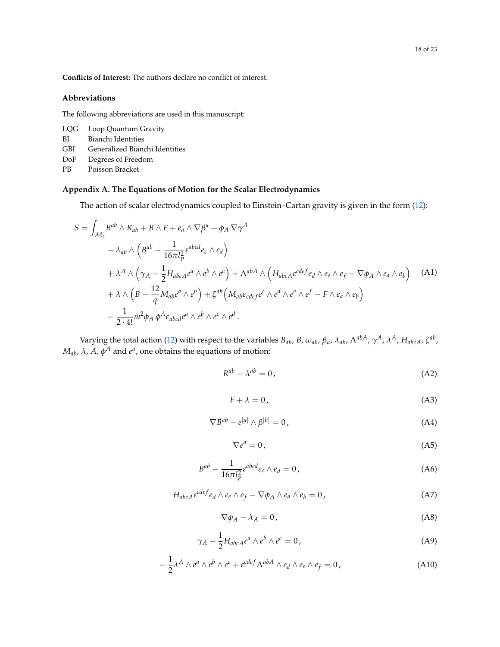**Conflicts of Interest:** The authors declare no conflict of interest.

## **Abbreviations**

The following abbreviations are used in this manuscript:

|      | LQG Loop Quantum Gravity       |
|------|--------------------------------|
| ВI   | Bianchi Identities             |
| GBI. | Generalized Bianchi Identities |
| DoF  | Degrees of Freedom             |

PB Poisson Bracket

## <span id="page-17-0"></span>**Appendix A. The Equations of Motion for the Scalar Electrodynamics**

The action of scalar electrodynamics coupled to Einstein–Cartan gravity is given in the form [\(12\)](#page-4-0):

$$
S = \int_{\mathcal{M}_4} B^{ab} \wedge R_{ab} + B \wedge F + e_a \wedge \nabla \beta^a + \phi_A \nabla \gamma^A
$$
  
\n
$$
- \lambda_{ab} \wedge \left( B^{ab} - \frac{1}{16\pi l_p^2} \varepsilon^{abcd} e_c \wedge e_d \right)
$$
  
\n
$$
+ \lambda^A \wedge \left( \gamma_A - \frac{1}{2} H_{abcA} e^a \wedge e^b \wedge e^c \right) + \Lambda^{abA} \wedge \left( H_{abcA} \varepsilon^{cdef} e_d \wedge e_e \wedge e_f - \nabla \phi_A \wedge e_a \wedge e_b \right)
$$
  
\n
$$
+ \lambda \wedge \left( B - \frac{12}{q} M_{ab} e^a \wedge e^b \right) + \zeta^{ab} \left( M_{ab} \varepsilon_{cdef} e^c \wedge e^d \wedge e^e \wedge e^f - F \wedge e_a \wedge e_b \right)
$$
  
\n
$$
- \frac{1}{2 \cdot 4!} m^2 \phi_A \phi^A \varepsilon_{abcd} e^a \wedge e^b \wedge e^c \wedge e^d.
$$

Varying the total action [\(12\)](#page-4-0) with respect to the variables  $B_{ab}$ , B,  $\omega_{ab}$ ,  $\beta_a$ ,  $\lambda_{ab}$ ,  $\Lambda^{abA}$ ,  $\gamma^A$ ,  $\lambda^A$ ,  $H_{abcA}$ ,  $\zeta^{ab}$ ,  $M_{ab}$ , *λ*, *A*,  $φ<sup>A</sup>$  and  $e<sup>a</sup>$ , one obtains the equations of motion:

<span id="page-17-1"></span>
$$
R^{ab} - \lambda^{ab} = 0, \tag{A2}
$$

$$
F + \lambda = 0,\tag{A3}
$$

<span id="page-17-2"></span>
$$
\nabla B^{ab} - e^{[a]} \wedge \beta^{[b]} = 0, \qquad (A4)
$$

$$
\nabla e^a = 0,\tag{A5}
$$

<span id="page-17-3"></span>
$$
B^{ab} - \frac{1}{16\pi l_p^2} \varepsilon^{abcd} e_c \wedge e_d = 0, \qquad (A6)
$$

$$
H_{abcA} \varepsilon^{cdef} e_d \wedge e_e \wedge e_f - \nabla \phi_A \wedge e_a \wedge e_b = 0, \qquad (A7)
$$

$$
\nabla \phi_A - \lambda_A = 0, \tag{A8}
$$

$$
\gamma_A - \frac{1}{2} H_{abcA} e^a \wedge e^b \wedge e^c = 0, \qquad (A9)
$$

$$
-\frac{1}{2}\lambda^A \wedge e^a \wedge e^b \wedge e^c + \varepsilon^{cdef} \Lambda^{abA} \wedge e_d \wedge e_e \wedge e_f = 0, \qquad (A10)
$$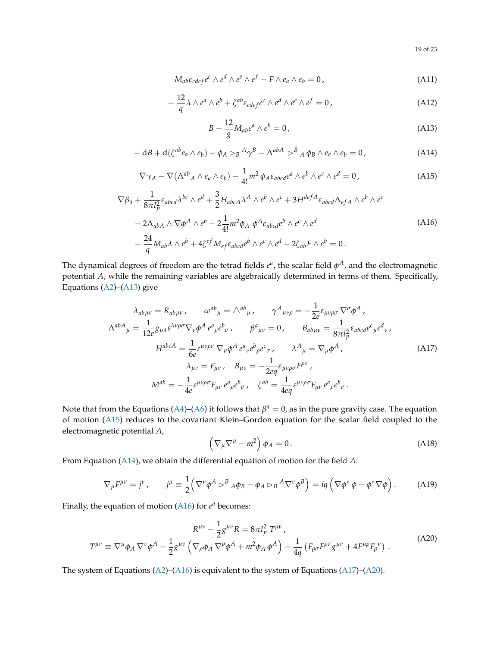19 of 23

$$
M_{ab}\varepsilon_{cdef}e^c \wedge e^d \wedge e^e \wedge e^f - F \wedge e_a \wedge e_b = 0, \qquad (A11)
$$

$$
-\frac{12}{q}\lambda \wedge e^a \wedge e^b + \zeta^{ab}\varepsilon_{cdef}e^c \wedge e^d \wedge e^e \wedge e^f = 0,
$$
 (A12)

<span id="page-18-0"></span>
$$
B - \frac{12}{g} M_{ab} e^a \wedge e^b = 0, \qquad (A13)
$$

<span id="page-18-2"></span>
$$
- dB + d(\zeta^{ab}e_a \wedge e_b) - \phi_A \rhd_B{}^A \gamma^B - \Lambda^{abA} \rhd^B {}_A \phi_B \wedge e_a \wedge e_b = 0, \qquad (A14)
$$

<span id="page-18-1"></span>
$$
\nabla \gamma_A - \nabla (\Lambda^{ab}{}_A \wedge e_a \wedge e_b) - \frac{1}{4!} m^2 \phi_A \varepsilon_{abcd} e^a \wedge e^b \wedge e^c \wedge e^d = 0, \qquad (A15)
$$

<span id="page-18-3"></span>
$$
\nabla \beta_a + \frac{1}{8\pi l_p^2} \varepsilon_{abcd} \lambda^{bc} \wedge e^d + \frac{3}{2} H_{abcA} \lambda^A \wedge e^b \wedge e^c + 3H^{defA} \varepsilon_{abcd} \Lambda_{efA} \wedge e^b \wedge e^c
$$
  

$$
- 2\Lambda_{abA} \wedge \nabla \phi^A \wedge e^b - 2\frac{1}{4!} m^2 \phi_A \phi^A \varepsilon_{abcd} e^b \wedge e^c \wedge e^d
$$
  

$$
- \frac{24}{q} M_{ab} \lambda \wedge e^b + 4\zeta^{ef} M_{ef} \varepsilon_{abcd} e^b \wedge e^c \wedge e^d - 2\zeta_{ab} F \wedge e^b = 0.
$$
 (A16)

The dynamical degrees of freedom are the tetrad fields  $e^a$ , the scalar field  $\phi^A$ , and the electromagnetic potential *A*, while the remaining variables are algebraically determined in terms of them. Specifically, Equations [\(A2\)](#page-17-1)–[\(A13\)](#page-18-0) give

<span id="page-18-4"></span>
$$
\lambda_{ab\mu\nu} = R_{ab\mu\nu}, \qquad \omega^{ab}{}_{\mu} = \triangle^{ab}{}_{\mu}, \qquad \gamma^{A}{}_{\mu\nu\rho} = -\frac{1}{2e} \varepsilon_{\mu\nu\rho\sigma} \nabla^{\sigma} \phi^{A},
$$
\n
$$
\Lambda^{abA}{}_{\mu} = \frac{1}{12e} g_{\mu\lambda} \varepsilon^{\lambda\nu\rho\sigma} \nabla_{\nu} \phi^{A} e^{a}{}_{\rho} e^{b}{}_{\sigma}, \qquad \beta^{a}{}_{\mu\nu} = 0, \qquad B_{ab\mu\nu} = \frac{1}{8\pi l_{\rho}^{2}} \varepsilon_{abcd} e^{c}{}_{\mu} e^{d}{}_{\nu},
$$
\n
$$
H^{abcA} = \frac{1}{6e} \varepsilon^{\mu\nu\rho\sigma} \nabla_{\mu} \phi^{A} e^{a}{}_{\nu} e^{b}{}_{\rho} e^{c}{}_{\sigma}, \qquad \lambda^{A}{}_{\mu} = \nabla_{\mu} \phi^{A},
$$
\n
$$
\lambda_{\mu\nu} = F_{\mu\nu}, \qquad B_{\mu\nu} = -\frac{1}{2eq} \varepsilon_{\mu\nu\rho\sigma} F^{\rho\sigma},
$$
\n
$$
M^{ab} = -\frac{1}{4e} \varepsilon^{\mu\nu\rho\sigma} F_{\mu\nu} e^{a}{}_{\rho} e^{b}{}_{\sigma}, \qquad \zeta^{ab} = \frac{1}{4eq} \varepsilon^{\mu\nu\rho\sigma} F_{\mu\nu} e^{a}{}_{\rho} e^{b}{}_{\sigma}.
$$
\n(A17)

Note that from the Equations [\(A4\)](#page-17-2)–[\(A6\)](#page-17-3) it follows that  $\beta^a = 0$ , as in the pure gravity case. The equation of motion [\(A15\)](#page-18-1) reduces to the covariant Klein–Gordon equation for the scalar field coupled to the electromagnetic potential *A*,

$$
\left(\nabla_{\mu}\nabla^{\mu}-m^{2}\right)\phi_{A}=0.\tag{A18}
$$

From Equation [\(A14\)](#page-18-2), we obtain the differential equation of motion for the field *A*:

$$
\nabla_{\mu}F^{\mu\nu} = j^{\nu}, \qquad j^{\mu} \equiv \frac{1}{2} \Big( \nabla^{\nu} \phi^{A} \triangleright^{B} {}_{A} \phi_{B} - \phi_{A} \triangleright_{B} {}^{A} \nabla^{\nu} \phi^{B} \Big) = iq \Big( \nabla \phi^{*} \phi - \phi^{*} \nabla \phi \Big). \tag{A19}
$$

Finally, the equation of motion [\(A16\)](#page-18-3) for  $e^a$  becomes:

<span id="page-18-5"></span>
$$
R^{\mu\nu} - \frac{1}{2}g^{\mu\nu}R = 8\pi l_p^2 T^{\mu\nu},
$$
  
\n
$$
T^{\mu\nu} \equiv \nabla^{\mu}\phi_A \nabla^{\nu}\phi^A - \frac{1}{2}g^{\mu\nu} \left( \nabla_{\rho}\phi_A \nabla^{\rho}\phi^A + m^2\phi_A \phi^A \right) - \frac{1}{4q} \left( F_{\rho\sigma}F^{\rho\sigma}g^{\mu\nu} + 4F^{\mu\rho}F_{\rho}{}^{\nu} \right).
$$
\n(A20)

The system of Equations [\(A2\)](#page-17-1)–[\(A16\)](#page-18-3) is equivalent to the system of Equations [\(A17\)](#page-18-4)–[\(A20\)](#page-18-5).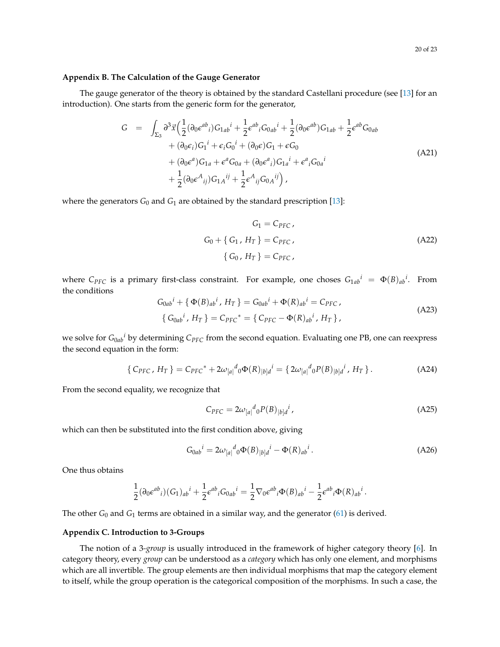#### <span id="page-19-1"></span>**Appendix B. The Calculation of the Gauge Generator**

The gauge generator of the theory is obtained by the standard Castellani procedure (see [\[13\]](#page-21-12) for an introduction). One starts from the generic form for the generator,

$$
G = \int_{\Sigma_3} \partial^3 \vec{x} \Big( \frac{1}{2} (\partial_0 \epsilon^{ab}{}_i) G_{1ab}{}^i + \frac{1}{2} \epsilon^{ab}{}_i G_{0ab}{}^i + \frac{1}{2} (\partial_0 \epsilon^{ab}) G_{1ab} + \frac{1}{2} \epsilon^{ab} G_{0ab} + (\partial_0 \epsilon_i) G_1{}^i + \epsilon_i G_0{}^i + (\partial_0 \epsilon) G_1 + \epsilon G_0 + (\partial_0 \epsilon^a) G_{1a} + \epsilon^a G_{0a} + (\partial_0 \epsilon^a{}_i) G_{1a}{}^i + \epsilon^a{}_i G_{0a}{}^i + \frac{1}{2} (\partial_0 \epsilon^A{}_{ij}) G_{1A}{}^{ij} + \frac{1}{2} \epsilon^A{}_{ij} G_{0A}{}^{ij} \Big),
$$
\n(A21)

where the generators  $G_0$  and  $G_1$  are obtained by the standard prescription [\[13\]](#page-21-12):

$$
G_1 = C_{PFC},
$$
  
\n
$$
G_0 + \{ G_1, H_T \} = C_{PFC},
$$
  
\n
$$
\{ G_0, H_T \} = C_{PFC},
$$
  
\n
$$
(A22)
$$

where  $C_{PFC}$  is a primary first-class constraint. For example, one choses  $G_{1ab}{}^i = \Phi(B)_{ab}{}^i$ . From the conditions

$$
G_{0ab}{}^{i} + \{ \Phi(B)_{ab}{}^{i}, H_{T} \} = G_{0ab}{}^{i} + \Phi(R)_{ab}{}^{i} = C_{PFC},
$$
  

$$
\{ G_{0ab}{}^{i}, H_{T} \} = C_{PFC}{}^{*} = \{ C_{PFC} - \Phi(R)_{ab}{}^{i}, H_{T} \},
$$
 (A23)

we solve for *G*0*ab <sup>i</sup>* by determining *CPFC* from the second equation. Evaluating one PB, one can reexpress the second equation in the form:

$$
\{C_{PFC}, H_T\} = C_{PFC}^* + 2\omega_{[a|}{}^d{}_0 \Phi(R)_{[b]d}{}^i = \{2\omega_{[a|}{}^d{}_0 P(B)_{[b]d}{}^i, H_T\}.
$$
 (A24)

From the second equality, we recognize that

$$
C_{PFC} = 2\omega_{[a]}^d{}_0 P(B)_{[b]d}^i,\tag{A25}
$$

which can then be substituted into the first condition above, giving

$$
G_{0ab}{}^{i} = 2\omega_{[a]}{}^{d}{}_{0}\Phi(B)_{|b]d}{}^{i} - \Phi(R)_{ab}{}^{i}.
$$
 (A26)

One thus obtains

$$
\frac{1}{2}(\partial_0 \epsilon^{ab}{}_i)(G_1)_{ab}{}^i + \frac{1}{2} \epsilon^{ab}{}_i G_{0ab}{}^i = \frac{1}{2} \nabla_0 \epsilon^{ab}{}_i \Phi(B)_{ab}{}^i - \frac{1}{2} \epsilon^{ab}{}_i \Phi(R)_{ab}{}^i.
$$

The other  $G_0$  and  $G_1$  terms are obtained in a similar way, and the generator [\(61\)](#page-14-1) is derived.

#### <span id="page-19-0"></span>**Appendix C. Introduction to 3-Groups**

The notion of a 3*-group* is usually introduced in the framework of higher category theory [\[6\]](#page-21-5). In category theory, every *group* can be understood as a *category* which has only one element, and morphisms which are all invertible. The group elements are then individual morphisms that map the category element to itself, while the group operation is the categorical composition of the morphisms. In such a case, the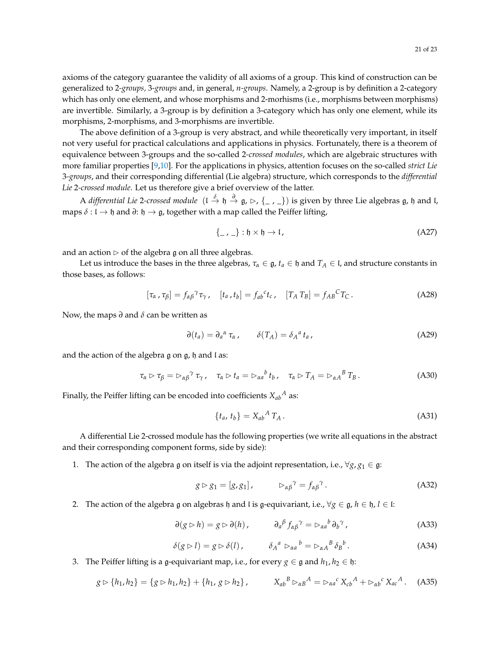axioms of the category guarantee the validity of all axioms of a group. This kind of construction can be generalized to 2*-groups,* 3*-groups* and, in general, *n-groups*. Namely, a 2-group is by definition a 2-category which has only one element, and whose morphisms and 2-morhisms (i.e., morphisms between morphisms) are invertible. Similarly, a 3-group is by definition a 3-category which has only one element, while its morphisms, 2-morphisms, and 3-morphisms are invertible.

The above definition of a 3-group is very abstract, and while theoretically very important, in itself not very useful for practical calculations and applications in physics. Fortunately, there is a theorem of equivalence between 3-groups and the so-called 2*-crossed modules*, which are algebraic structures with more familiar properties [\[9,](#page-21-8)[10\]](#page-21-9). For the applications in physics, attention focuses on the so-called *strict Lie* 3*-groups*, and their corresponding differential (Lie algebra) structure, which corresponds to the *differential Lie* 2*-crossed module*. Let us therefore give a brief overview of the latter.

A *differential Lie* 2-crossed module ( $\iota \stackrel{\delta}{\to} \mathfrak{h} \stackrel{\partial}{\to} \mathfrak{g}$ ,  $\rhd$ , {\_, \_}) is given by three Lie algebras  $\mathfrak{g}$ ,  $\mathfrak{h}$  and  $\mathfrak{l}$ , maps  $\delta$  :  $\mathfrak{l} \to \mathfrak{h}$  and  $\partial$ :  $\mathfrak{h} \to \mathfrak{g}$ , together with a map called the Peiffer lifting,

$$
\{-\, , \_ \}: \mathfrak{h} \times \mathfrak{h} \to \mathfrak{l},\tag{A27}
$$

and an action  $\triangleright$  of the algebra g on all three algebras.

Let us introduce the bases in the three algebras,  $\tau_\alpha \in \mathfrak{g}$ ,  $t_a \in \mathfrak{h}$  and  $T_A \in \mathfrak{l}$ , and structure constants in those bases, as follows:

$$
[\tau_{\alpha}, \tau_{\beta}] = f_{\alpha\beta}^{\ \gamma} \tau_{\gamma}, \quad [t_a, t_b] = f_{ab}^{\ c} t_c, \quad [T_A T_B] = f_{AB}^{\ C} T_C. \tag{A28}
$$

Now, the maps *∂* and *δ* can be written as

$$
\partial(t_a) = \partial_a{}^a \tau_\alpha, \qquad \delta(T_A) = \delta_A{}^a t_a,
$$
\n(A29)

and the action of the algebra  $g$  on  $g$ ,  $h$  and  $l$  as:

$$
\tau_{\alpha} \rhd \tau_{\beta} = \rhd_{\alpha\beta}^{\qquad \gamma} \tau_{\gamma}, \quad \tau_{\alpha} \rhd t_{a} = \rhd_{\alpha a}^{\qquad b} t_{b}, \quad \tau_{\alpha} \rhd T_{A} = \rhd_{\alpha A}^{\qquad B} T_{B}. \tag{A30}
$$

Finally, the Peiffer lifting can be encoded into coefficients  $X_{ab}{}^A$  as:

$$
\{t_a, t_b\} = X_{ab}{}^A T_A. \tag{A31}
$$

A differential Lie 2-crossed module has the following properties (we write all equations in the abstract and their corresponding component forms, side by side):

1. The action of the algebra g on itself is via the adjoint representation, i.e.,  $\forall g, g_1 \in \mathfrak{g}$ :

$$
g \triangleright g_1 = [g, g_1], \qquad \triangleright_{\alpha \beta}^{\gamma} = f_{\alpha \beta}^{\gamma}.
$$
 (A32)

2. The action of the algebra  $\mathfrak g$  on algebras  $\mathfrak h$  and  $\mathfrak l$  is  $\mathfrak g$ -equivariant, i.e.,  $\forall g \in \mathfrak g$ ,  $h \in \mathfrak h$ ,  $l \in \mathfrak l$ :

$$
\partial(g \rhd h) = g \rhd \partial(h), \qquad \partial_a{}^\beta f_{\alpha\beta}{}^\gamma = \rhd_{\alpha a}{}^b \partial_b{}^\gamma,\tag{A33}
$$

$$
\delta(g \rhd l) = g \rhd \delta(l), \qquad \delta_A^a \rhd_{\alpha a}^b = \rhd_{\alpha A}^B \delta_B^b. \tag{A34}
$$

3. The Peiffer lifting is a g-equivariant map, i.e., for every  $g \in \mathfrak{g}$  and  $h_1, h_2 \in \mathfrak{h}$ :

$$
g \triangleright \{h_1, h_2\} = \{g \triangleright h_1, h_2\} + \{h_1, g \triangleright h_2\}, \qquad X_{ab}{}^B \triangleright_{\alpha B}{}^A = \triangleright_{\alpha a}{}^c X_{cb}{}^A + \triangleright_{\alpha b}{}^c X_{ac}{}^A. \tag{A35}
$$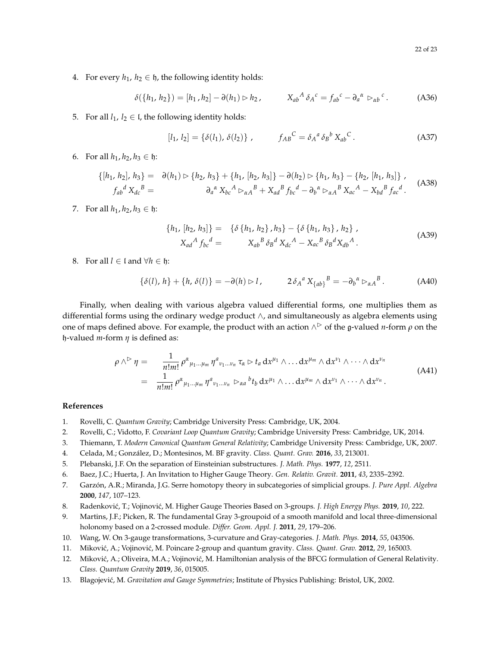4. For every  $h_1$ ,  $h_2 \in \mathfrak{h}$ , the following identity holds:

$$
\delta({h_1, h_2}) = [h_1, h_2] - \partial(h_1) \rhd h_2, \qquad X_{ab}{}^A \delta_A{}^c = f_{ab}{}^c - \partial_a{}^a \rhd_{ab}{}^c. \tag{A36}
$$

5. For all  $l_1$ ,  $l_2 \in I$ , the following identity holds:

$$
[l_1, l_2] = \{\delta(l_1), \delta(l_2)\}, \qquad f_{AB}^C = \delta_A{}^a \delta_B{}^b X_{ab}{}^C. \tag{A37}
$$

6. For all  $h_1, h_2, h_3 \in \mathfrak{h}$ :

$$
\{[h_1, h_2], h_3\} = \partial(h_1) \triangleright \{h_2, h_3\} + \{h_1, [h_2, h_3]\} - \partial(h_2) \triangleright \{h_1, h_3\} - \{h_2, [h_1, h_3]\},
$$
  
\n
$$
f_{ab}{}^d X_{dc}{}^B = \qquad \qquad \partial_a{}^{\alpha} X_{bc}{}^A \triangleright_{\alpha A}{}^B + X_{ad}{}^B f_{bc}{}^d - \partial_b{}^{\alpha} \triangleright_{\alpha A}{}^B X_{ac}{}^A - X_{bd}{}^B f_{ac}{}^d.
$$
 (A38)

7. For all  $h_1, h_2, h_3 \in \mathfrak{h}$ :

$$
\{h_1, [h_2, h_3]\} = \{ \delta \{h_1, h_2\}, h_3\} - \{ \delta \{h_1, h_3\}, h_2\},
$$
  

$$
X_{ad}{}^A f_{bc}{}^d = X_{ab}{}^B \delta_B{}^d X_{dc}{}^A - X_{ac}{}^B \delta_B{}^d X_{db}{}^A.
$$
 (A39)

8. For all  $l \in \mathfrak{l}$  and  $\forall h \in \mathfrak{h}$ :

$$
\{\delta(l), h\} + \{h, \delta(l)\} = -\partial(h) \rhd l, \qquad 2\delta_A{}^a X_{\{ab\}}{}^B = -\partial_b{}^a \rhd_{\alpha A}{}^B. \tag{A40}
$$

Finally, when dealing with various algebra valued differential forms, one multiplies them as differential forms using the ordinary wedge product ∧, and simultaneously as algebra elements using one of maps defined above. For example, the product with an action  $\wedge$   $\triangleright$  of the g-valued *n*-form  $\rho$  on the h-valued *m*-form *η* is defined as:

$$
\rho \wedge^{\triangleright} \eta = \frac{1}{n!m!} \rho^{\alpha}{}_{\mu_1...\mu_m} \eta^a{}_{\nu_1...\nu_n} \tau_{\alpha} \triangleright t_a \, dx^{\mu_1} \wedge \ldots dx^{\mu_m} \wedge dx^{\nu_1} \wedge \cdots \wedge dx^{\nu_n}
$$
\n
$$
= \frac{1}{n!m!} \rho^{\alpha}{}_{\mu_1...\mu_m} \eta^a{}_{\nu_1...\nu_n} \triangleright_{\alpha a}{}^b t_b \, dx^{\mu_1} \wedge \ldots dx^{\mu_m} \wedge dx^{\nu_1} \wedge \cdots \wedge dx^{\nu_n}.
$$
\n(A41)

## **References**

- <span id="page-21-0"></span>1. Rovelli, C. *Quantum Gravity*; Cambridge University Press: Cambridge, UK, 2004.
- <span id="page-21-2"></span>2. Rovelli, C.; Vidotto, F. *Covariant Loop Quantum Gravity*; Cambridge University Press: Cambridge, UK, 2014.
- <span id="page-21-1"></span>3. Thiemann, T. *Modern Canonical Quantum General Relativity*; Cambridge University Press: Cambridge, UK, 2007.
- <span id="page-21-3"></span>4. Celada, M.; González, D.; Montesinos, M. BF gravity. *Class. Quant. Grav.* **2016**, *33*, 213001.
- <span id="page-21-4"></span>5. Plebanski, J.F. On the separation of Einsteinian substructures. *J. Math. Phys.* **1977**, *12*, 2511.
- <span id="page-21-5"></span>6. Baez, J.C.; Huerta, J. An Invitation to Higher Gauge Theory. *Gen. Relativ. Gravit.* **2011**, *43*, 2335–2392.
- <span id="page-21-6"></span>7. Garzón, A.R.; Miranda, J.G. Serre homotopy theory in subcategories of simplicial groups. *J. Pure Appl. Algebra* **2000**, *147*, 107–123.
- <span id="page-21-7"></span>8. Radenković, T.; Vojinović, M. Higher Gauge Theories Based on 3-groups. *J. High Energy Phys.* 2019, 10, 222.
- <span id="page-21-8"></span>9. Martins, J.F.; Picken, R. The fundamental Gray 3-groupoid of a smooth manifold and local three-dimensional holonomy based on a 2-crossed module. *Differ. Geom. Appl. J.* **2011**, *29*, 179–206.
- <span id="page-21-9"></span>10. Wang, W. On 3-gauge transformations, 3-curvature and Gray-categories. *J. Math. Phys.* **2014**, *55*, 043506.
- <span id="page-21-10"></span>11. Mikovi´c, A.; Vojinovi´c, M. Poincare 2-group and quantum gravity. *Class. Quant. Grav.* **2012**, *29*, 165003.
- <span id="page-21-11"></span>12. Miković, A.; Oliveira, M.A.; Vojinović, M. Hamiltonian analysis of the BFCG formulation of General Relativity. *Class. Quantum Gravity* **2019**, *36*, 015005.
- <span id="page-21-12"></span>13. Blagojevi´c, M. *Gravitation and Gauge Symmetries*; Institute of Physics Publishing: Bristol, UK, 2002.